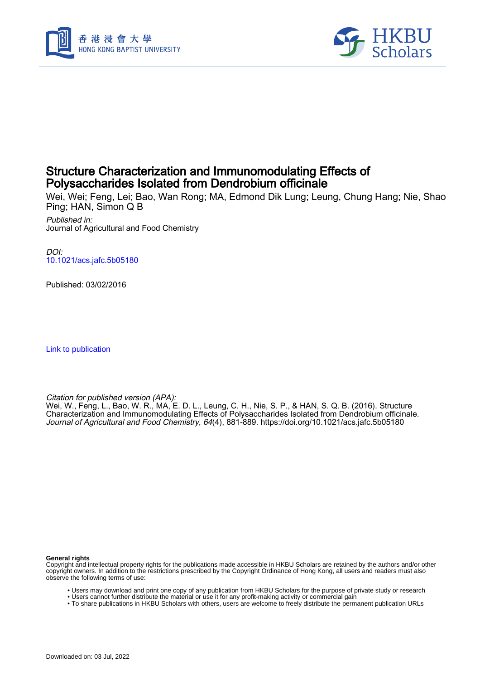



# Structure Characterization and Immunomodulating Effects of Polysaccharides Isolated from Dendrobium officinale

Wei, Wei; Feng, Lei; Bao, Wan Rong; MA, Edmond Dik Lung; Leung, Chung Hang; Nie, Shao Ping; HAN, Simon Q B

Published in: Journal of Agricultural and Food Chemistry

DOI: [10.1021/acs.jafc.5b05180](https://doi.org/10.1021/acs.jafc.5b05180)

Published: 03/02/2016

[Link to publication](https://scholars.hkbu.edu.hk/en/publications/b0f134ae-6d45-41c1-a9a3-20cf7b725e44)

Citation for published version (APA):

Wei, W., Feng, L., Bao, W. R., MA, E. D. L., Leung, C. H., Nie, S. P., & HAN, S. Q. B. (2016). Structure Characterization and Immunomodulating Effects of Polysaccharides Isolated from Dendrobium officinale. Journal of Agricultural and Food Chemistry, 64(4), 881-889.<https://doi.org/10.1021/acs.jafc.5b05180>

**General rights**

Copyright and intellectual property rights for the publications made accessible in HKBU Scholars are retained by the authors and/or other copyright owners. In addition to the restrictions prescribed by the Copyright Ordinance of Hong Kong, all users and readers must also observe the following terms of use:

- Users may download and print one copy of any publication from HKBU Scholars for the purpose of private study or research
- Users cannot further distribute the material or use it for any profit-making activity or commercial gain
- To share publications in HKBU Scholars with others, users are welcome to freely distribute the permanent publication URLs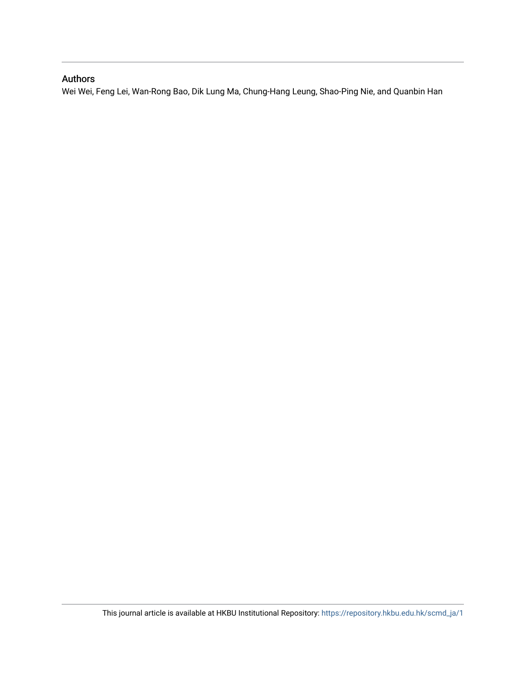## Authors

Wei Wei, Feng Lei, Wan-Rong Bao, Dik Lung Ma, Chung-Hang Leung, Shao-Ping Nie, and Quanbin Han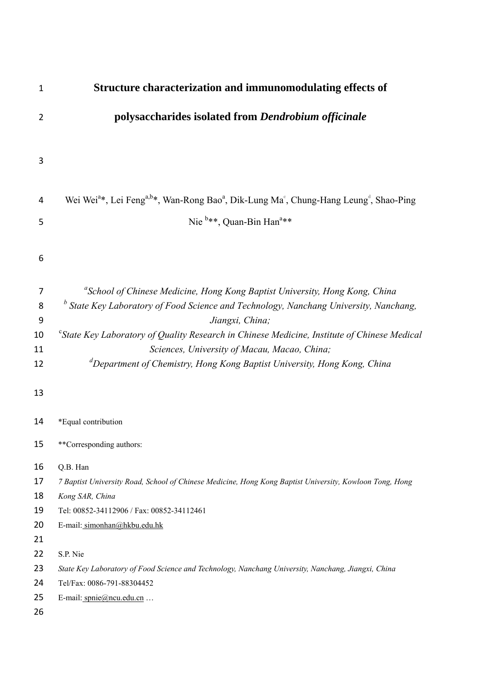| $\mathbf 1$    | Structure characterization and immunomodulating effects of                                                                                          |
|----------------|-----------------------------------------------------------------------------------------------------------------------------------------------------|
| $\overline{2}$ | polysaccharides isolated from Dendrobium officinale                                                                                                 |
|                |                                                                                                                                                     |
| $\mathsf 3$    |                                                                                                                                                     |
| 4              | Wei Wei <sup>a*</sup> , Lei Feng <sup>a,b*</sup> , Wan-Rong Bao <sup>a</sup> , Dik-Lung Ma <sup>c</sup> , Chung-Hang Leung <sup>d</sup> , Shao-Ping |
| 5              | Nie <sup>b**</sup> , Quan-Bin Han <sup>a**</sup>                                                                                                    |
| 6              |                                                                                                                                                     |
|                |                                                                                                                                                     |
| 7              | <sup>a</sup> School of Chinese Medicine, Hong Kong Baptist University, Hong Kong, China                                                             |
| 8              | $^b$ State Key Laboratory of Food Science and Technology, Nanchang University, Nanchang,                                                            |
| 9              | Jiangxi, China;                                                                                                                                     |
| 10             | <sup>c</sup> State Key Laboratory of Quality Research in Chinese Medicine, Institute of Chinese Medical                                             |
| 11             | Sciences, University of Macau, Macao, China;                                                                                                        |
| 12             | <sup>d</sup> Department of Chemistry, Hong Kong Baptist University, Hong Kong, China                                                                |
| 13             |                                                                                                                                                     |
| 14             | *Equal contribution                                                                                                                                 |
| 15             | **Corresponding authors:                                                                                                                            |
| 16             | Q.B. Han                                                                                                                                            |
| 17             | 7 Baptist University Road, School of Chinese Medicine, Hong Kong Baptist University, Kowloon Tong, Hong                                             |
| 18             | Kong SAR, China                                                                                                                                     |
| 19             | Tel: 00852-34112906 / Fax: 00852-34112461                                                                                                           |
| 20             | E-mail: simonhan@hkbu.edu.hk                                                                                                                        |
| 21             |                                                                                                                                                     |
| 22             | S.P. Nie                                                                                                                                            |
| 23             | State Key Laboratory of Food Science and Technology, Nanchang University, Nanchang, Jiangxi, China                                                  |
| 24             | Tel/Fax: 0086-791-88304452                                                                                                                          |
| 25<br>26       | E-mail: spnie@ncu.edu.cn                                                                                                                            |
|                |                                                                                                                                                     |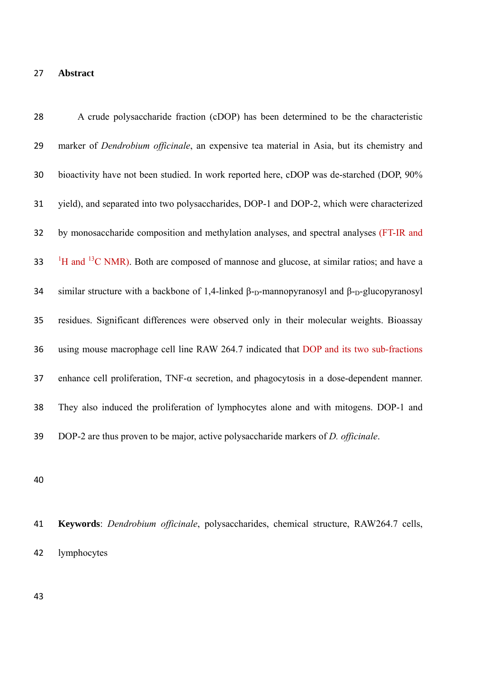# **Abstract**

| 28 | A crude polysaccharide fraction (cDOP) has been determined to be the characteristic                                               |
|----|-----------------------------------------------------------------------------------------------------------------------------------|
| 29 | marker of <i>Dendrobium officinale</i> , an expensive tea material in Asia, but its chemistry and                                 |
| 30 | bioactivity have not been studied. In work reported here, cDOP was de-starched (DOP, 90%)                                         |
| 31 | yield), and separated into two polysaccharides, DOP-1 and DOP-2, which were characterized                                         |
| 32 | by monosaccharide composition and methylation analyses, and spectral analyses (FT-IR and                                          |
| 33 | <sup>1</sup> H and <sup>13</sup> C NMR). Both are composed of mannose and glucose, at similar ratios; and have a                  |
| 34 | similar structure with a backbone of 1,4-linked $\beta$ - <sub>D</sub> -mannopyranosyl and $\beta$ - <sub>D</sub> -glucopyranosyl |
| 35 | residues. Significant differences were observed only in their molecular weights. Bioassay                                         |
| 36 | using mouse macrophage cell line RAW 264.7 indicated that DOP and its two sub-fractions                                           |
| 37 | enhance cell proliferation, $TNF-\alpha$ secretion, and phagocytosis in a dose-dependent manner.                                  |
| 38 | They also induced the proliferation of lymphocytes alone and with mitogens. DOP-1 and                                             |
| 39 | DOP-2 are thus proven to be major, active polysaccharide markers of <i>D. officinale</i> .                                        |

 **Keywords**: *Dendrobium officinale*, polysaccharides, chemical structure, RAW264.7 cells, lymphocytes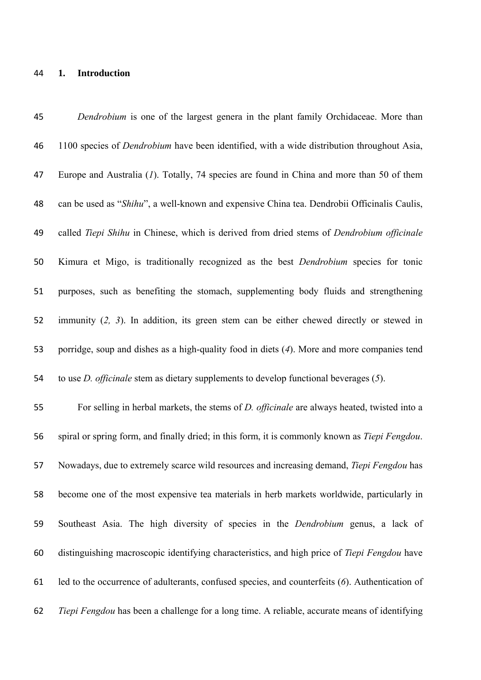#### **1. Introduction**

 *Dendrobium* is one of the largest genera in the plant family Orchidaceae. More than 1100 species of *Dendrobium* have been identified, with a wide distribution throughout Asia, Europe and Australia (*1*). Totally, 74 species are found in China and more than 50 of them can be used as "*Shihu*", a well-known and expensive China tea. Dendrobii Officinalis Caulis, called *Tiepi Shihu* in Chinese, which is derived from dried stems of *Dendrobium officinale* Kimura et Migo, is traditionally recognized as the best *Dendrobium* species for tonic purposes, such as benefiting the stomach, supplementing body fluids and strengthening immunity (*2, 3*). In addition, its green stem can be either chewed directly or stewed in porridge, soup and dishes as a high-quality food in diets (*4*). More and more companies tend to use *D. officinale* stem as dietary supplements to develop functional beverages (*5*). For selling in herbal markets, the stems of *D. officinale* are always heated, twisted into a spiral or spring form, and finally dried; in this form, it is commonly known as *Tiepi Fengdou*. Nowadays, due to extremely scarce wild resources and increasing demand, *Tiepi Fengdou* has become one of the most expensive tea materials in herb markets worldwide, particularly in Southeast Asia. The high diversity of species in the *Dendrobium* genus, a lack of distinguishing macroscopic identifying characteristics, and high price of *Tiepi Fengdou* have led to the occurrence of adulterants, confused species, and counterfeits (*6*). Authentication of *Tiepi Fengdou* has been a challenge for a long time. A reliable, accurate means of identifying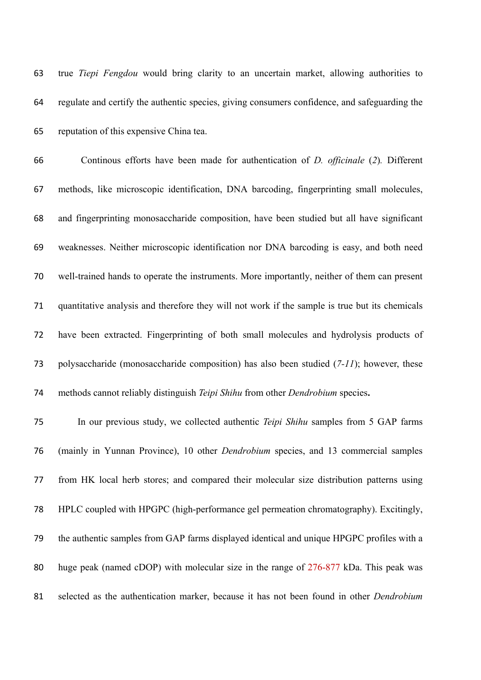true *Tiepi Fengdou* would bring clarity to an uncertain market, allowing authorities to regulate and certify the authentic species, giving consumers confidence, and safeguarding the reputation of this expensive China tea.

 Continous efforts have been made for authentication of *D. officinale* (*2*)*.* Different methods, like microscopic identification, DNA barcoding, fingerprinting small molecules, and fingerprinting monosaccharide composition, have been studied but all have significant weaknesses. Neither microscopic identification nor DNA barcoding is easy, and both need well-trained hands to operate the instruments. More importantly, neither of them can present quantitative analysis and therefore they will not work if the sample is true but its chemicals have been extracted. Fingerprinting of both small molecules and hydrolysis products of polysaccharide (monosaccharide composition) has also been studied (*7-11*); however, these methods cannot reliably distinguish *Teipi Shihu* from other *Dendrobium* species**.** 

 In our previous study, we collected authentic *Teipi Shihu* samples from 5 GAP farms (mainly in Yunnan Province), 10 other *Dendrobium* species, and 13 commercial samples from HK local herb stores; and compared their molecular size distribution patterns using HPLC coupled with HPGPC (high-performance gel permeation chromatography). Excitingly, the authentic samples from GAP farms displayed identical and unique HPGPC profiles with a huge peak (named cDOP) with molecular size in the range of 276-877 kDa. This peak was selected as the authentication marker, because it has not been found in other *Dendrobium*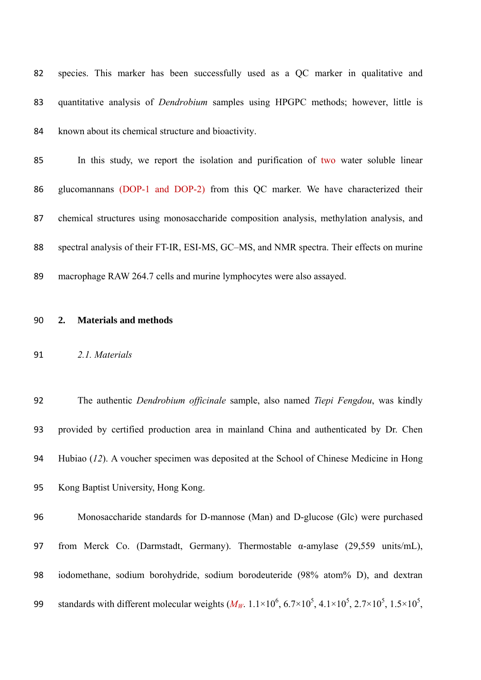| 82 | species. This marker has been successfully used as a QC marker in qualitative and          |
|----|--------------------------------------------------------------------------------------------|
| 83 | quantitative analysis of <i>Dendrobium</i> samples using HPGPC methods; however, little is |
| 84 | known about its chemical structure and bioactivity.                                        |

| 85 | In this study, we report the isolation and purification of two water soluble linear       |
|----|-------------------------------------------------------------------------------------------|
| 86 | glucomannans (DOP-1 and DOP-2) from this QC marker. We have characterized their           |
| 87 | chemical structures using monosaccharide composition analysis, methylation analysis, and  |
| 88 | spectral analysis of their FT-IR, ESI-MS, GC–MS, and NMR spectra. Their effects on murine |
| 89 | macrophage RAW 264.7 cells and murine lymphocytes were also assayed.                      |

#### **2. Materials and methods**

#### *2.1. Materials*

 The authentic *Dendrobium officinale* sample, also named *Tiepi Fengdou*, was kindly provided by certified production area in mainland China and authenticated by Dr. Chen Hubiao (*12*). A voucher specimen was deposited at the School of Chinese Medicine in Hong Kong Baptist University, Hong Kong.

 Monosaccharide standards for D-mannose (Man) and D-glucose (Glc) were purchased from Merck Co. (Darmstadt, Germany). Thermostable α-amylase (29,559 units/mL), iodomethane, sodium borohydride, sodium borodeuteride (98% atom% D), and dextran 99 standards with different molecular weights  $(M_W. 1.1 \times 10^6, 6.7 \times 10^5, 4.1 \times 10^5, 2.7 \times 10^5, 1.5 \times 10^5,$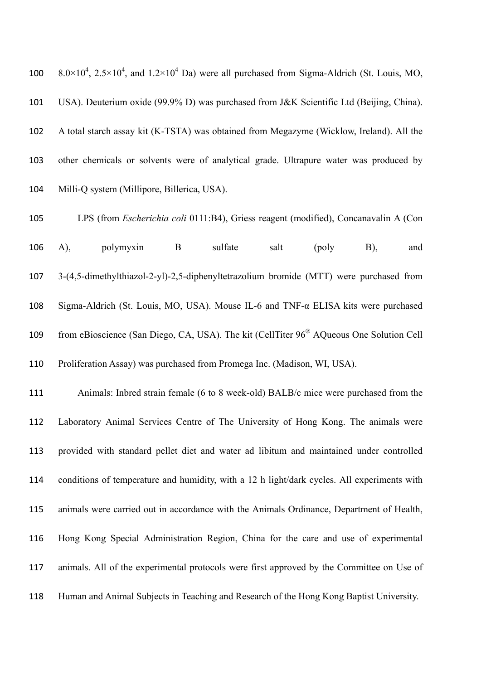$8.0 \times 10^4$ ,  $2.5 \times 10^4$ , and  $1.2 \times 10^4$  Da) were all purchased from Sigma-Aldrich (St. Louis, MO, USA). Deuterium oxide (99.9% D) was purchased from J&K Scientific Ltd (Beijing, China). A total starch assay kit (K-TSTA) was obtained from Megazyme (Wicklow, Ireland). All the other chemicals or solvents were of analytical grade. Ultrapure water was produced by Milli-Q system (Millipore, Billerica, USA).

 LPS (from *Escherichia coli* 0111:B4), Griess reagent (modified), Concanavalin A (Con A), polymyxin B sulfate salt (poly B), and 3-(4,5-dimethylthiazol-2-yl)-2,5-diphenyltetrazolium bromide (MTT) were purchased from Sigma-Aldrich (St. Louis, MO, USA). Mouse IL-6 and TNF-α ELISA kits were purchased from eBioscience (San Diego, CA, USA). The kit (CellTiter 96<sup>®</sup> AQueous One Solution Cell Proliferation Assay) was purchased from Promega Inc. (Madison, WI, USA).

 Animals: Inbred strain female (6 to 8 week-old) BALB/c mice were purchased from the Laboratory Animal Services Centre of The University of Hong Kong. The animals were provided with standard pellet diet and water ad libitum and maintained under controlled conditions of temperature and humidity, with a 12 h light/dark cycles. All experiments with animals were carried out in accordance with the Animals Ordinance, Department of Health, Hong Kong Special Administration Region, China for the care and use of experimental animals. All of the experimental protocols were first approved by the Committee on Use of Human and Animal Subjects in Teaching and Research of the Hong Kong Baptist University.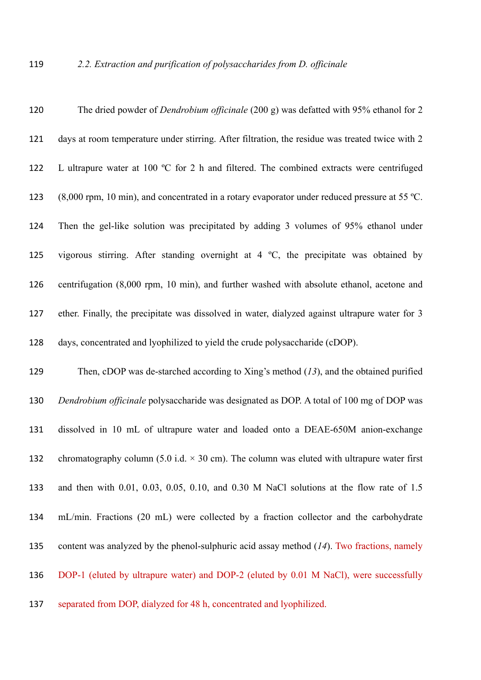| 120 | The dried powder of <i>Dendrobium officinale</i> (200 g) was defatted with 95% ethanol for 2                     |
|-----|------------------------------------------------------------------------------------------------------------------|
| 121 | days at room temperature under stirring. After filtration, the residue was treated twice with 2                  |
| 122 | L ultrapure water at 100 °C for 2 h and filtered. The combined extracts were centrifuged                         |
| 123 | $(8,000 \text{ rpm}, 10 \text{ min})$ , and concentrated in a rotary evaporator under reduced pressure at 55 °C. |
| 124 | Then the gel-like solution was precipitated by adding 3 volumes of 95% ethanol under                             |
| 125 | vigorous stirring. After standing overnight at $4 \degree C$ , the precipitate was obtained by                   |
| 126 | centrifugation (8,000 rpm, 10 min), and further washed with absolute ethanol, acetone and                        |
| 127 | ether. Finally, the precipitate was dissolved in water, dialyzed against ultrapure water for 3                   |
| 128 | days, concentrated and lyophilized to yield the crude polysaccharide (cDOP).                                     |
| 129 | Then, cDOP was de-starched according to Xing's method $(13)$ , and the obtained purified                         |
| 130 | Dendrobium officinale polysaccharide was designated as DOP. A total of 100 mg of DOP was                         |
| 131 | dissolved in 10 mL of ultrapure water and loaded onto a DEAE-650M anion-exchange                                 |
| 132 | chromatography column (5.0 i.d. $\times$ 30 cm). The column was eluted with ultrapure water first                |
| 133 | and then with $0.01$ , $0.03$ , $0.05$ , $0.10$ , and $0.30$ M NaCl solutions at the flow rate of $1.5$          |
| 134 | mL/min. Fractions (20 mL) were collected by a fraction collector and the carbohydrate                            |
| 135 | content was analyzed by the phenol-sulphuric acid assay method $(14)$ . Two fractions, namely                    |
| 136 | DOP-1 (eluted by ultrapure water) and DOP-2 (eluted by 0.01 M NaCl), were successfully                           |
| 137 | separated from DOP, dialyzed for 48 h, concentrated and lyophilized.                                             |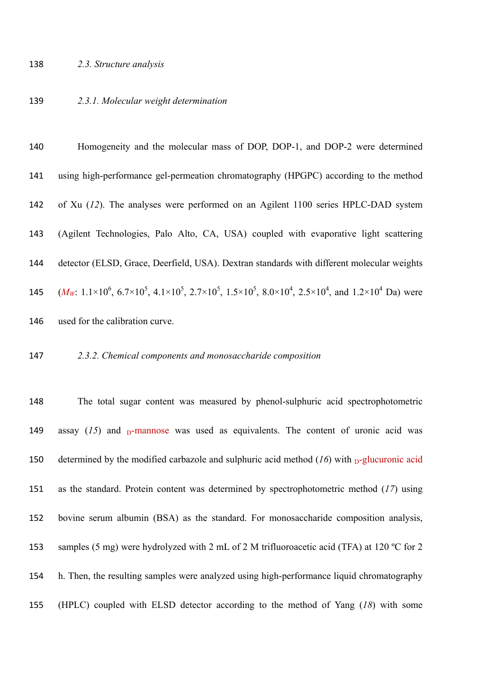*2.3.1. Molecular weight determination* 

 Homogeneity and the molecular mass of DOP, DOP-1, and DOP-2 were determined using high-performance gel-permeation chromatography (HPGPC) according to the method of Xu (*12*). The analyses were performed on an Agilent 1100 series HPLC-DAD system (Agilent Technologies, Palo Alto, CA, USA) coupled with evaporative light scattering detector (ELSD, Grace, Deerfield, USA). Dextran standards with different molecular weights  $(M_W: 1.1 \times 10^6, 6.7 \times 10^5, 4.1 \times 10^5, 2.7 \times 10^5, 1.5 \times 10^5, 8.0 \times 10^4, 2.5 \times 10^4,$  and  $1.2 \times 10^4$  Da) were used for the calibration curve.

#### *2.3.2. Chemical components and monosaccharide composition*

 The total sugar content was measured by phenol-sulphuric acid spectrophotometric 149 assay  $(15)$  and  $_D$ -mannose was used as equivalents. The content of uronic acid was 150 determined by the modified carbazole and sulphuric acid method  $(16)$  with  $D-$ glucuronic acid as the standard. Protein content was determined by spectrophotometric method (*17*) using bovine serum albumin (BSA) as the standard. For monosaccharide composition analysis, 153 samples (5 mg) were hydrolyzed with 2 mL of 2 M trifluoroacetic acid (TFA) at 120 °C for 2 h. Then, the resulting samples were analyzed using high-performance liquid chromatography (HPLC) coupled with ELSD detector according to the method of Yang (*18*) with some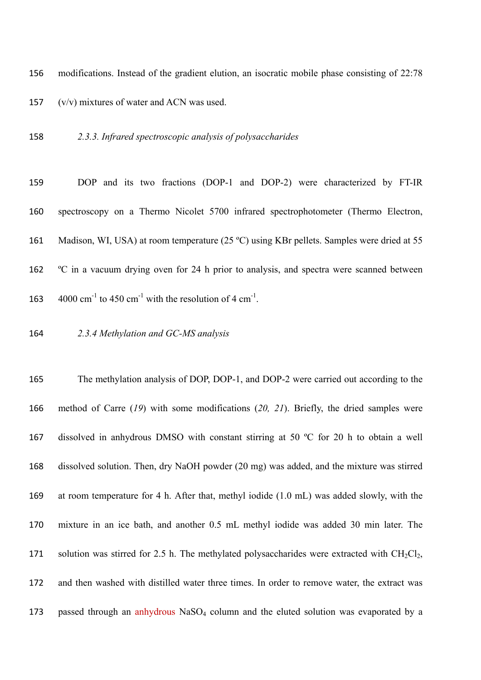modifications. Instead of the gradient elution, an isocratic mobile phase consisting of 22:78 (v/v) mixtures of water and ACN was used.

*2.3.3. Infrared spectroscopic analysis of polysaccharides* 

 DOP and its two fractions (DOP-1 and DOP-2) were characterized by FT-IR spectroscopy on a Thermo Nicolet 5700 infrared spectrophotometer (Thermo Electron, 161 Madison, WI, USA) at room temperature (25 °C) using KBr pellets. Samples were dried at 55 ºC in a vacuum drying oven for 24 h prior to analysis, and spectra were scanned between  $4000 \text{ cm}^{-1}$  to 450  $\text{cm}^{-1}$  with the resolution of 4  $\text{cm}^{-1}$ .

*2.3.4 Methylation and GC-MS analysis* 

 The methylation analysis of DOP, DOP-1, and DOP-2 were carried out according to the method of Carre (*19*) with some modifications (*20, 21*). Briefly, the dried samples were dissolved in anhydrous DMSO with constant stirring at 50 ºC for 20 h to obtain a well dissolved solution. Then, dry NaOH powder (20 mg) was added, and the mixture was stirred at room temperature for 4 h. After that, methyl iodide (1.0 mL) was added slowly, with the mixture in an ice bath, and another 0.5 mL methyl iodide was added 30 min later. The 171 solution was stirred for 2.5 h. The methylated polysaccharides were extracted with  $CH_2Cl_2$ , and then washed with distilled water three times. In order to remove water, the extract was 173 passed through an anhydrous NaSO<sub>4</sub> column and the eluted solution was evaporated by a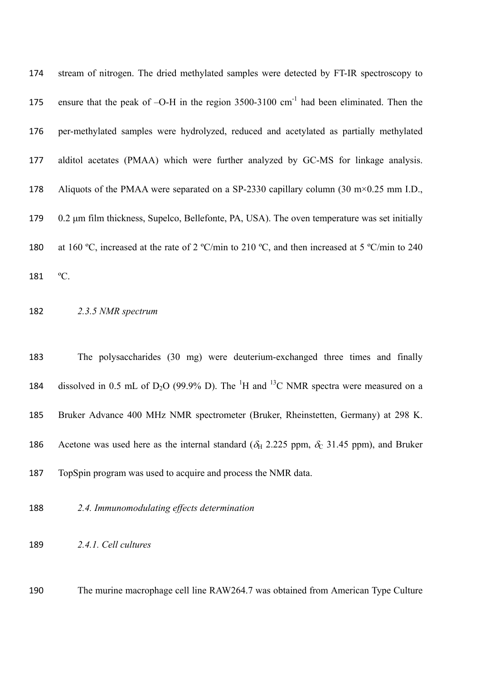| 174 | stream of nitrogen. The dried methylated samples were detected by FT-IR spectroscopy to                        |
|-----|----------------------------------------------------------------------------------------------------------------|
| 175 | ensure that the peak of $-O-H$ in the region 3500-3100 cm <sup>-1</sup> had been eliminated. Then the          |
| 176 | per-methylated samples were hydrolyzed, reduced and acetylated as partially methylated                         |
| 177 | alditol acetates (PMAA) which were further analyzed by GC-MS for linkage analysis.                             |
| 178 | Aliquots of the PMAA were separated on a SP-2330 capillary column (30 m $\times$ 0.25 mm I.D.,                 |
| 179 | 0.2 µm film thickness, Supelco, Bellefonte, PA, USA). The oven temperature was set initially                   |
| 180 | at 160 °C, increased at the rate of 2 °C/min to 210 °C, and then increased at 5 °C/min to 240                  |
| 181 | °C.                                                                                                            |
| 182 | 2.3.5 NMR spectrum                                                                                             |
|     |                                                                                                                |
| 183 | The polysaccharides (30 mg) were deuterium-exchanged three times and finally                                   |
| 184 | dissolved in 0.5 mL of $D_2O$ (99.9% D). The <sup>1</sup> H and <sup>13</sup> C NMR spectra were measured on a |
| 185 | Bruker Advance 400 MHz NMR spectrometer (Bruker, Rheinstetten, Germany) at 298 K.                              |

- TopSpin program was used to acquire and process the NMR data.
- *2.4. Immunomodulating effects determination*
- *2.4.1. Cell cultures*

The murine macrophage cell line RAW264.7 was obtained from American Type Culture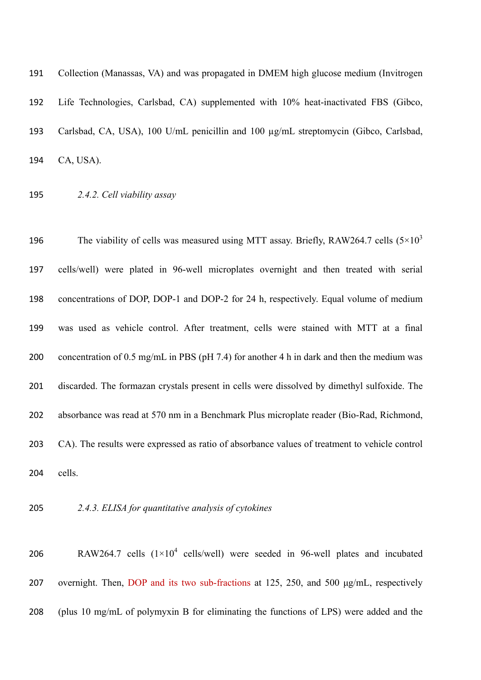| 191 | Collection (Manassas, VA) and was propagated in DMEM high glucose medium (Invitrogen |
|-----|--------------------------------------------------------------------------------------|
| 192 | Life Technologies, Carlsbad, CA) supplemented with 10% heat-inactivated FBS (Gibco,  |
| 193 | Carlsbad, CA, USA), 100 U/mL penicillin and 100 µg/mL streptomycin (Gibco, Carlsbad, |
| 194 | CA, USA).                                                                            |

*2.4.2. Cell viability assay* 

196 The viability of cells was measured using MTT assay. Briefly, RAW264.7 cells  $(5 \times 10^3)$  cells/well) were plated in 96-well microplates overnight and then treated with serial concentrations of DOP, DOP-1 and DOP-2 for 24 h, respectively. Equal volume of medium was used as vehicle control. After treatment, cells were stained with MTT at a final concentration of 0.5 mg/mL in PBS (pH 7.4) for another 4 h in dark and then the medium was discarded. The formazan crystals present in cells were dissolved by dimethyl sulfoxide. The absorbance was read at 570 nm in a Benchmark Plus microplate reader (Bio-Rad, Richmond, CA). The results were expressed as ratio of absorbance values of treatment to vehicle control cells.

- 
- *2.4.3. ELISA for quantitative analysis of cytokines*

206 RAW264.7 cells  $(1\times10^4 \text{ cells/well})$  were seeded in 96-well plates and incubated overnight. Then, DOP and its two sub-fractions at 125, 250, and 500 μg/mL, respectively (plus 10 mg/mL of polymyxin B for eliminating the functions of LPS) were added and the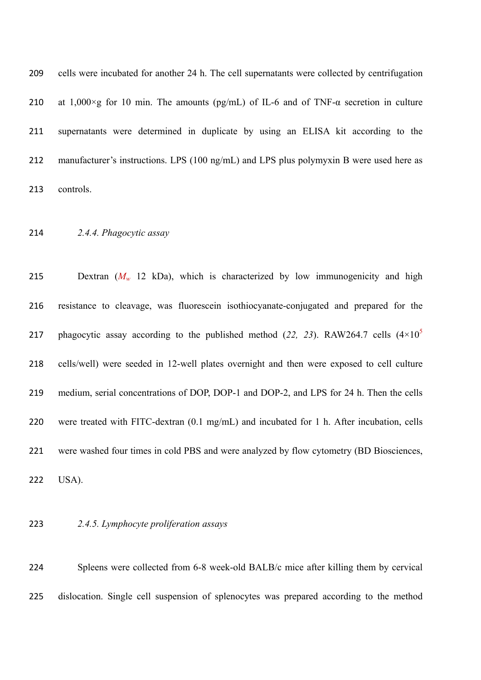| 209 | cells were incubated for another 24 h. The cell supernations were collected by centrifugation |
|-----|-----------------------------------------------------------------------------------------------|
| 210 | at 1,000 ×g for 10 min. The amounts (pg/mL) of IL-6 and of TNF- $\alpha$ secretion in culture |
| 211 | supernatants were determined in duplicate by using an ELISA kit according to the              |
| 212 | manufacturer's instructions. LPS (100 ng/mL) and LPS plus polymyxin B were used here as       |
| 213 | controls.                                                                                     |

*2.4.4. Phagocytic assay* 

215 Dextran  $(M_w$  12 kDa), which is characterized by low immunogenicity and high resistance to cleavage, was fluorescein isothiocyanate-conjugated and prepared for the 217 phagocytic assay according to the published method  $(22, 23)$ . RAW264.7 cells  $(4\times10^5)$  cells/well) were seeded in 12-well plates overnight and then were exposed to cell culture medium, serial concentrations of DOP, DOP-1 and DOP-2, and LPS for 24 h. Then the cells 220 were treated with FITC-dextran (0.1 mg/mL) and incubated for 1 h. After incubation, cells were washed four times in cold PBS and were analyzed by flow cytometry (BD Biosciences, USA).

#### *2.4.5. Lymphocyte proliferation assays*

 Spleens were collected from 6-8 week-old BALB/c mice after killing them by cervical dislocation. Single cell suspension of splenocytes was prepared according to the method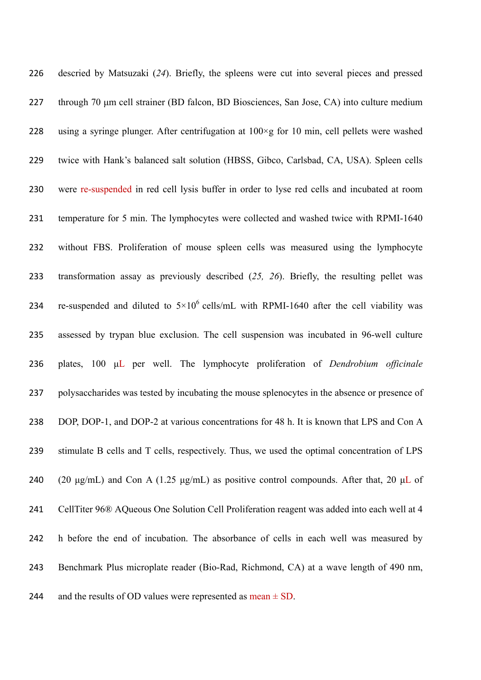| 226 | descried by Matsuzaki (24). Briefly, the spleens were cut into several pieces and pressed            |
|-----|------------------------------------------------------------------------------------------------------|
| 227 | through 70 µm cell strainer (BD falcon, BD Biosciences, San Jose, CA) into culture medium            |
| 228 | using a syringe plunger. After centrifugation at $100 \times g$ for 10 min, cell pellets were washed |
| 229 | twice with Hank's balanced salt solution (HBSS, Gibco, Carlsbad, CA, USA). Spleen cells              |
| 230 | were re-suspended in red cell lysis buffer in order to lyse red cells and incubated at room          |
| 231 | temperature for 5 min. The lymphocytes were collected and washed twice with RPMI-1640                |
| 232 | without FBS. Proliferation of mouse spleen cells was measured using the lymphocyte                   |
| 233 | transformation assay as previously described $(25, 26)$ . Briefly, the resulting pellet was          |
| 234 | re-suspended and diluted to $5 \times 10^6$ cells/mL with RPMI-1640 after the cell viability was     |
| 235 | assessed by trypan blue exclusion. The cell suspension was incubated in 96-well culture              |
| 236 | plates, 100 µL per well. The lymphocyte proliferation of <i>Dendrobium officinale</i>                |
| 237 | polysaccharides was tested by incubating the mouse splenocytes in the absence or presence of         |
| 238 | DOP, DOP-1, and DOP-2 at various concentrations for 48 h. It is known that LPS and Con A             |
| 239 | stimulate B cells and T cells, respectively. Thus, we used the optimal concentration of LPS          |
| 240 | (20 µg/mL) and Con A (1.25 µg/mL) as positive control compounds. After that, 20 µL of                |
| 241 | CellTiter 96® AQueous One Solution Cell Proliferation reagent was added into each well at 4          |
| 242 | h before the end of incubation. The absorbance of cells in each well was measured by                 |
| 243 | Benchmark Plus microplate reader (Bio-Rad, Richmond, CA) at a wave length of 490 nm,                 |
| 244 | and the results of OD values were represented as mean $\pm$ SD.                                      |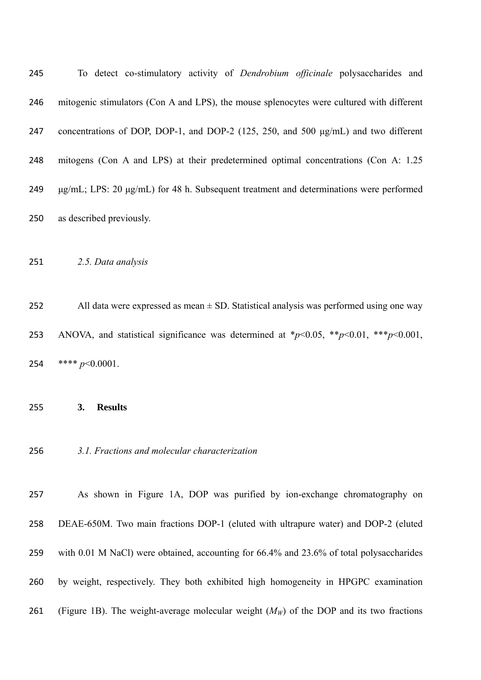| 245 | To detect co-stimulatory activity of <i>Dendrobium officinale</i> polysaccharides and            |
|-----|--------------------------------------------------------------------------------------------------|
| 246 | mitogenic stimulators (Con A and LPS), the mouse splenocytes were cultured with different        |
| 247 | concentrations of DOP, DOP-1, and DOP-2 (125, 250, and 500 $\mu$ g/mL) and two different         |
| 248 | mitogens (Con A and LPS) at their predetermined optimal concentrations (Con A: 1.25              |
| 249 | $\mu$ g/mL; LPS: 20 $\mu$ g/mL) for 48 h. Subsequent treatment and determinations were performed |
| 250 | as described previously.                                                                         |

*2.5. Data analysis* 

252 All data were expressed as mean  $\pm$  SD. Statistical analysis was performed using one way 253 ANOVA, and statistical significance was determined at  $\frac{*p}{0.05}$ ,  $\frac{*p}{0.01}$ ,  $\frac{***p}{0.001}$ , \*\*\*\* *p*<0.0001.

**3. Results** 

*3.1. Fractions and molecular characterization* 

 As shown in Figure 1A, DOP was purified by ion-exchange chromatography on DEAE-650M. Two main fractions DOP-1 (eluted with ultrapure water) and DOP-2 (eluted with 0.01 M NaCl) were obtained, accounting for 66.4% and 23.6% of total polysaccharides by weight, respectively. They both exhibited high homogeneity in HPGPC examination 261 (Figure 1B). The weight-average molecular weight  $(M_W)$  of the DOP and its two fractions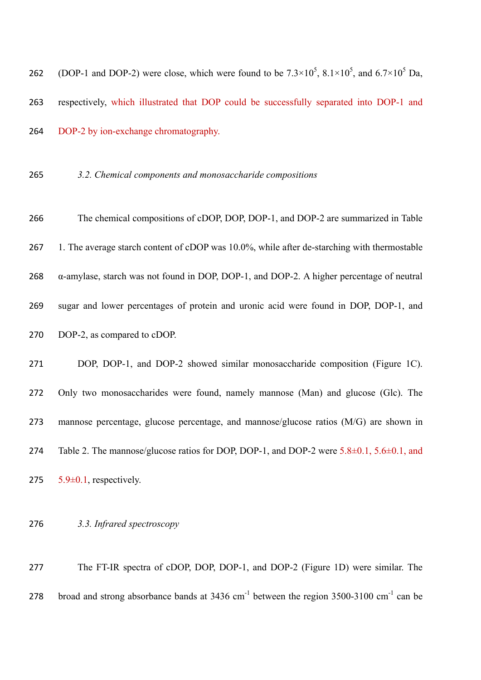262 (DOP-1 and DOP-2) were close, which were found to be  $7.3 \times 10^5$ ,  $8.1 \times 10^5$ , and  $6.7 \times 10^5$  Da, respectively, which illustrated that DOP could be successfully separated into DOP-1 and DOP-2 by ion-exchange chromatography.

#### *3.2. Chemical components and monosaccharide compositions*

 The chemical compositions of cDOP, DOP, DOP-1, and DOP-2 are summarized in Table 267 1. The average starch content of cDOP was 10.0%, while after de-starching with thermostable  $\alpha$ -amylase, starch was not found in DOP, DOP-1, and DOP-2. A higher percentage of neutral sugar and lower percentages of protein and uronic acid were found in DOP, DOP-1, and DOP-2, as compared to cDOP. DOP, DOP-1, and DOP-2 showed similar monosaccharide composition (Figure 1C). Only two monosaccharides were found, namely mannose (Man) and glucose (Glc). The

 mannose percentage, glucose percentage, and mannose/glucose ratios (M/G) are shown in 274 Table 2. The mannose/glucose ratios for DOP, DOP-1, and DOP-2 were  $5.8\pm0.1$ ,  $5.6\pm0.1$ , and 275  $5.9\pm0.1$ , respectively.

*3.3. Infrared spectroscopy* 

 The FT-IR spectra of cDOP, DOP, DOP-1, and DOP-2 (Figure 1D) were similar. The 278 broad and strong absorbance bands at  $3436 \text{ cm}^{-1}$  between the region  $3500-3100 \text{ cm}^{-1}$  can be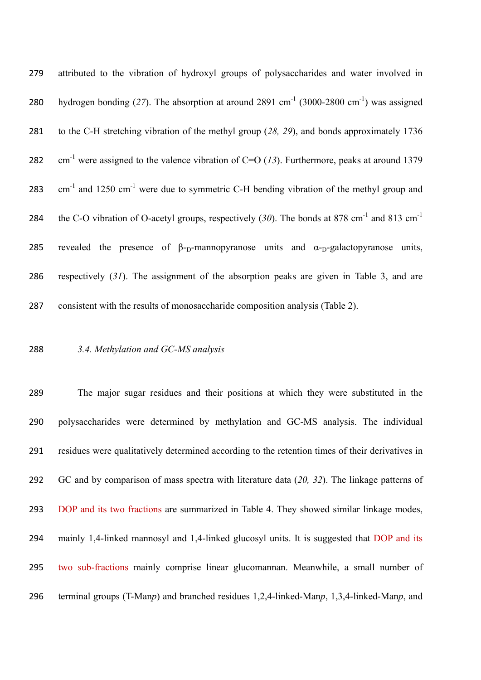attributed to the vibration of hydroxyl groups of polysaccharides and water involved in 280 hydrogen bonding (27). The absorption at around 2891 cm<sup>-1</sup> (3000-2800 cm<sup>-1</sup>) was assigned to the C-H stretching vibration of the methyl group (*28, 29*), and bonds approximately 1736 282 cm<sup>-1</sup> were assigned to the valence vibration of C=O  $(13)$ . Furthermore, peaks at around 1379 283 cm<sup>-1</sup> and 1250 cm<sup>-1</sup> were due to symmetric C-H bending vibration of the methyl group and 284 the C-O vibration of O-acetyl groups, respectively  $(30)$ . The bonds at 878 cm<sup>-1</sup> and 813 cm<sup>-1</sup> 285 revealed the presence of  $\beta$ -<sub>D</sub>-mannopyranose units and  $\alpha$ -<sub>D</sub>-galactopyranose units, respectively (*31*). The assignment of the absorption peaks are given in Table 3, and are consistent with the results of monosaccharide composition analysis (Table 2).

### *3.4. Methylation and GC-MS analysis*

 The major sugar residues and their positions at which they were substituted in the polysaccharides were determined by methylation and GC-MS analysis. The individual residues were qualitatively determined according to the retention times of their derivatives in GC and by comparison of mass spectra with literature data (*20, 32*). The linkage patterns of DOP and its two fractions are summarized in Table 4. They showed similar linkage modes, mainly 1,4-linked mannosyl and 1,4-linked glucosyl units. It is suggested that DOP and its two sub-fractions mainly comprise linear glucomannan. Meanwhile, a small number of terminal groups (T-Man*p*) and branched residues 1,2,4-linked-Man*p*, 1,3,4-linked-Man*p*, and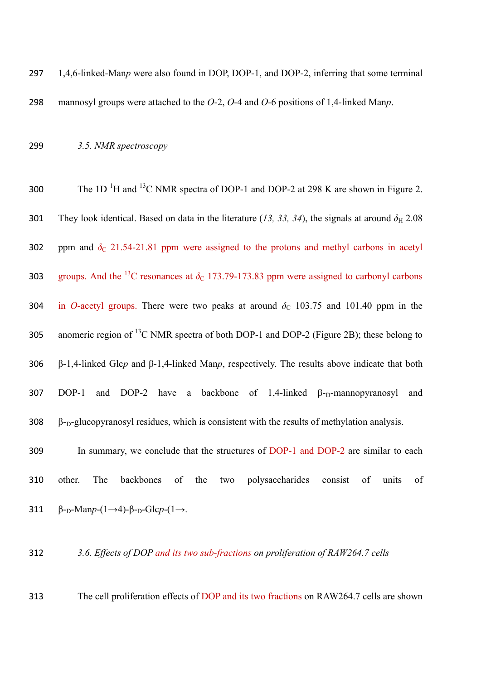297 1,4,6-linked-Man*p* were also found in DOP, DOP-1, and DOP-2, inferring that some terminal 298 mannosyl groups were attached to the *O*-2, *O*-4 and *O*-6 positions of 1,4-linked Man*p*.

## 299 *3.5. NMR spectroscopy*

300 The 1D<sup>-1</sup>H and <sup>13</sup>C NMR spectra of DOP-1 and DOP-2 at 298 K are shown in Figure 2. 301 They look identical. Based on data in the literature (13, 33, 34), the signals at around  $\delta_{\rm H}$  2.08 302 ppm and  $\delta_c$  21.54-21.81 ppm were assigned to the protons and methyl carbons in acetyl 303 groups. And the <sup>13</sup>C resonances at  $\delta$ <sub>C</sub> 173.79-173.83 ppm were assigned to carbonyl carbons 304 in *O*-acetyl groups. There were two peaks at around  $\delta_c$  103.75 and 101.40 ppm in the 305 anomeric region of <sup>13</sup>C NMR spectra of both DOP-1 and DOP-2 (Figure 2B); these belong to 306 β-1,4-linked Glc*p* and β-1,4-linked Man*p*, respectively. The results above indicate that both 307 DOP-1 and DOP-2 have a backbone of 1,4-linked  $\beta$ -<sub>D</sub>-mannopyranosyl and  $308$   $\beta$ -<sub>D</sub>-glucopyranosyl residues, which is consistent with the results of methylation analysis.

309 In summary, we conclude that the structures of DOP-1 and DOP-2 are similar to each 310 other. The backbones of the two polysaccharides consist of units of 311  $\beta$ -<sub>D</sub>-Man*p*-(1→4)- $\beta$ -<sub>D</sub>-Glc*p*-(1→.

## 312 *3.6. Effects of DOP and its two sub-fractions on proliferation of RAW264.7 cells*

313 The cell proliferation effects of DOP and its two fractions on RAW264.7 cells are shown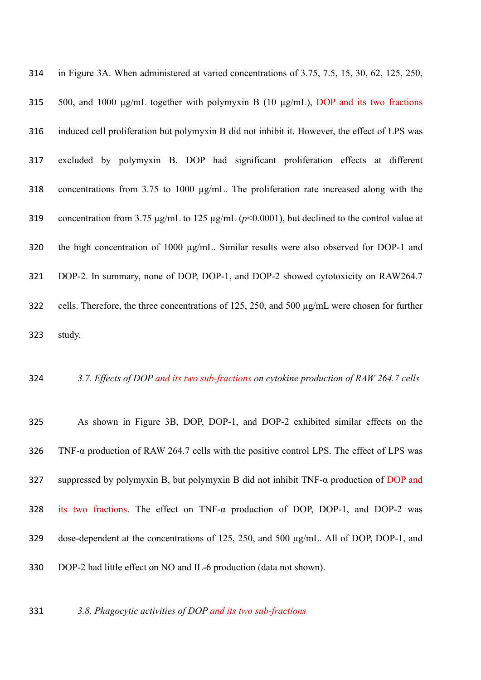| 314 | in Figure 3A. When administered at varied concentrations of 3.75, 7.5, 15, 30, 62, 125, 250,              |
|-----|-----------------------------------------------------------------------------------------------------------|
| 315 | 500, and 1000 $\mu$ g/mL together with polymyxin B (10 $\mu$ g/mL), DOP and its two fractions             |
| 316 | induced cell proliferation but polymyxin B did not inhibit it. However, the effect of LPS was             |
| 317 | excluded by polymyxin B. DOP had significant proliferation effects at different                           |
| 318 | concentrations from 3.75 to 1000 $\mu$ g/mL. The proliferation rate increased along with the              |
| 319 | concentration from 3.75 $\mu$ g/mL to 125 $\mu$ g/mL ( $p$ <0.0001), but declined to the control value at |
| 320 | the high concentration of 1000 µg/mL. Similar results were also observed for DOP-1 and                    |
| 321 | DOP-2. In summary, none of DOP, DOP-1, and DOP-2 showed cytotoxicity on RAW264.7                          |
| 322 | cells. Therefore, the three concentrations of 125, 250, and 500 $\mu$ g/mL were chosen for further        |
| 323 | study.                                                                                                    |

### *3.7. Effects of DOP and its two sub-fractions on cytokine production of RAW 264.7 cells*

 As shown in Figure 3B, DOP, DOP-1, and DOP-2 exhibited similar effects on the 326 TNF- $\alpha$  production of RAW 264.7 cells with the positive control LPS. The effect of LPS was suppressed by polymyxin B, but polymyxin B did not inhibit TNF-α production of DOP and its two fractions. The effect on TNF-α production of DOP, DOP-1, and DOP-2 was dose-dependent at the concentrations of 125, 250, and 500 µg/mL. All of DOP, DOP-1, and DOP-2 had little effect on NO and IL-6 production (data not shown).

*3.8. Phagocytic activities of DOP and its two sub-fractions*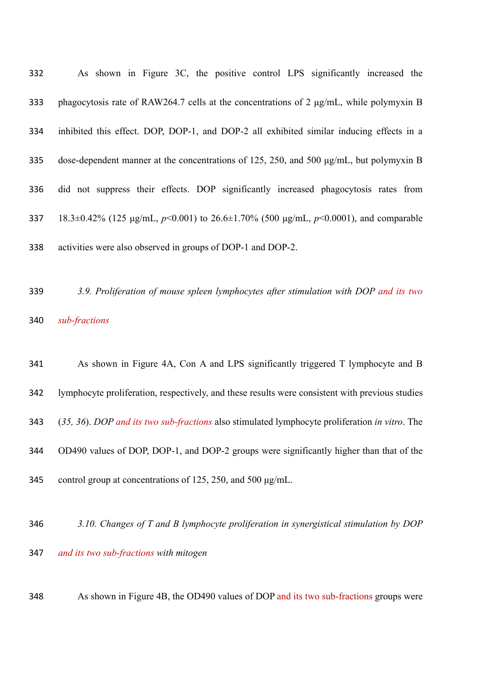| 332 | As shown in Figure 3C, the positive control LPS significantly increased the                  |
|-----|----------------------------------------------------------------------------------------------|
| 333 | phagocytosis rate of RAW264.7 cells at the concentrations of 2 µg/mL, while polymyxin B      |
| 334 | inhibited this effect. DOP, DOP-1, and DOP-2 all exhibited similar inducing effects in a     |
| 335 | dose-dependent manner at the concentrations of 125, 250, and 500 $\mu$ g/mL, but polymyxin B |
| 336 | did not suppress their effects. DOP significantly increased phagocytosis rates from          |
| 337 | 18.3±0.42% (125 µg/mL, $p<0.001$ ) to 26.6±1.70% (500 µg/mL, $p<0.0001$ ), and comparable    |
| 338 | activities were also observed in groups of DOP-1 and DOP-2.                                  |
|     |                                                                                              |

 *3.9. Proliferation of mouse spleen lymphocytes after stimulation with DOP and its two sub-fractions*

 As shown in Figure 4A, Con A and LPS significantly triggered T lymphocyte and B lymphocyte proliferation, respectively, and these results were consistent with previous studies (*35, 36*). *DOP and its two sub-fractions* also stimulated lymphocyte proliferation *in vitro*. The OD490 values of DOP, DOP-1, and DOP-2 groups were significantly higher than that of the control group at concentrations of 125, 250, and 500 μg/mL.

- *3.10. Changes of T and B lymphocyte proliferation in synergistical stimulation by DOP*
	- *and its two sub-fractions with mitogen*
	- As shown in Figure 4B, the OD490 values of DOP and its two sub-fractions groups were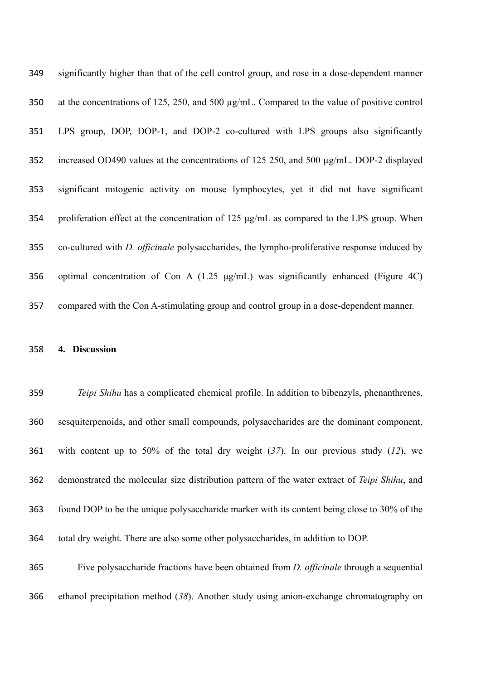| 349 | significantly higher than that of the cell control group, and rose in a dose-dependent manner       |
|-----|-----------------------------------------------------------------------------------------------------|
| 350 | at the concentrations of 125, 250, and 500 $\mu$ g/mL. Compared to the value of positive control    |
| 351 | LPS group, DOP, DOP-1, and DOP-2 co-cultured with LPS groups also significantly                     |
| 352 | increased OD490 values at the concentrations of 125 250, and 500 µg/mL. DOP-2 displayed             |
| 353 | significant mitogenic activity on mouse lymphocytes, yet it did not have significant                |
| 354 | proliferation effect at the concentration of 125 $\mu$ g/mL as compared to the LPS group. When      |
| 355 | co-cultured with <i>D. officinale</i> polysaccharides, the lympho-proliferative response induced by |
| 356 | optimal concentration of Con A $(1.25 \mu g/mL)$ was significantly enhanced (Figure 4C)             |
| 357 | compared with the Con A-stimulating group and control group in a dose-dependent manner.             |

#### **4. Discussion**

 *Teipi Shihu* has a complicated chemical profile. In addition to bibenzyls, phenanthrenes, sesquiterpenoids, and other small compounds, polysaccharides are the dominant component, with content up to 50% of the total dry weight (*37*). In our previous study (*12*), we demonstrated the molecular size distribution pattern of the water extract of *Teipi Shihu*, and found DOP to be the unique polysaccharide marker with its content being close to 30% of the total dry weight. There are also some other polysaccharides, in addition to DOP.

 Five polysaccharide fractions have been obtained from *D. officinale* through a sequential ethanol precipitation method (*38*). Another study using anion-exchange chromatography on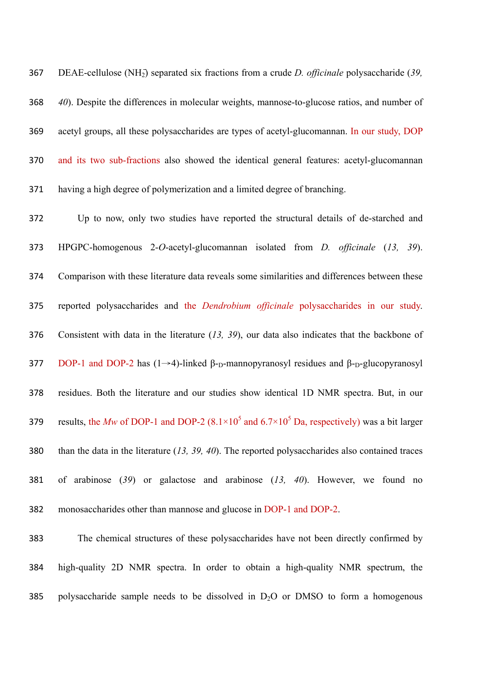DEAE-cellulose (NH2 ̶ ) separated six fractions from a crude *D. officinale* polysaccharide (*39, 40*). Despite the differences in molecular weights, mannose-to-glucose ratios, and number of acetyl groups, all these polysaccharides are types of acetyl-glucomannan. In our study, DOP and its two sub-fractions also showed the identical general features: acetyl-glucomannan having a high degree of polymerization and a limited degree of branching.

 Up to now, only two studies have reported the structural details of de-starched and HPGPC-homogenous 2-*O*-acetyl-glucomannan isolated from *D. officinale* (*13, 39*). Comparison with these literature data reveals some similarities and differences between these reported polysaccharides and the *Dendrobium officinale* polysaccharides in our study. Consistent with data in the literature (*13, 39*), our data also indicates that the backbone of 377 DOP-1 and DOP-2 has  $(1\rightarrow 4)$ -linked β-<sub>D</sub>-mannopyranosyl residues and β-<sub>D</sub>-glucopyranosyl residues. Both the literature and our studies show identical 1D NMR spectra. But, in our 379 results, the Mw of DOP-1 and DOP-2  $(8.1 \times 10^5 \text{ and } 6.7 \times 10^5 \text{ Da}$ , respectively) was a bit larger than the data in the literature (*13, 39, 40*). The reported polysaccharides also contained traces of arabinose (*39*) or galactose and arabinose (*13, 40*). However, we found no monosaccharides other than mannose and glucose in DOP-1 and DOP-2.

 The chemical structures of these polysaccharides have not been directly confirmed by high-quality 2D NMR spectra. In order to obtain a high-quality NMR spectrum, the 385 polysaccharide sample needs to be dissolved in  $D_2O$  or DMSO to form a homogenous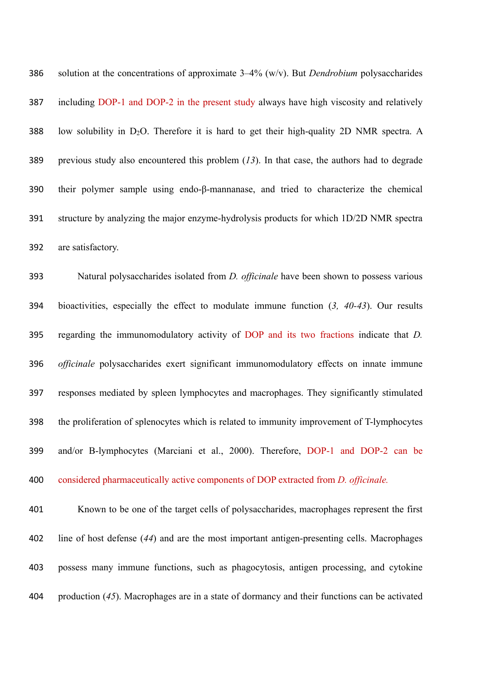solution at the concentrations of approximate 3–4% (w/v). But *Dendrobium* polysaccharides including DOP-1 and DOP-2 in the present study always have high viscosity and relatively 388 low solubility in D<sub>2</sub>O. Therefore it is hard to get their high-quality 2D NMR spectra. A previous study also encountered this problem (*13*). In that case, the authors had to degrade their polymer sample using endo-β-mannanase, and tried to characterize the chemical structure by analyzing the major enzyme-hydrolysis products for which 1D/2D NMR spectra are satisfactory.

 Natural polysaccharides isolated from *D. officinale* have been shown to possess various bioactivities, especially the effect to modulate immune function (*3, 40-43*). Our results regarding the immunomodulatory activity of DOP and its two fractions indicate that *D. officinale* polysaccharides exert significant immunomodulatory effects on innate immune responses mediated by spleen lymphocytes and macrophages. They significantly stimulated the proliferation of splenocytes which is related to immunity improvement of T-lymphocytes and/or B-lymphocytes (Marciani et al., 2000). Therefore, DOP-1 and DOP-2 can be considered pharmaceutically active components of DOP extracted from *D. officinale.*

 Known to be one of the target cells of polysaccharides, macrophages represent the first line of host defense (*44*) and are the most important antigen-presenting cells. Macrophages possess many immune functions, such as phagocytosis, antigen processing, and cytokine production (*45*). Macrophages are in a state of dormancy and their functions can be activated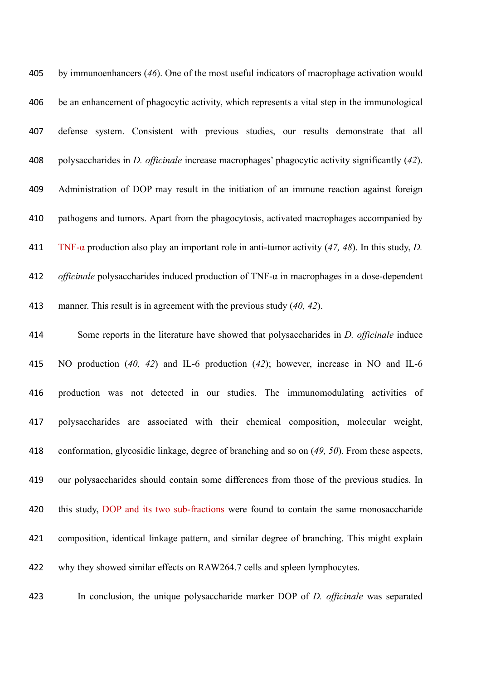| 405 | by immunoenhancers (46). One of the most useful indicators of macrophage activation would                |
|-----|----------------------------------------------------------------------------------------------------------|
| 406 | be an enhancement of phagocytic activity, which represents a vital step in the immunological             |
| 407 | defense system. Consistent with previous studies, our results demonstrate that all                       |
| 408 | polysaccharides in <i>D. officinale</i> increase macrophages' phagocytic activity significantly (42).    |
| 409 | Administration of DOP may result in the initiation of an immune reaction against foreign                 |
| 410 | pathogens and tumors. Apart from the phagocytosis, activated macrophages accompanied by                  |
| 411 | TNF- $\alpha$ production also play an important role in anti-tumor activity (47, 48). In this study, D.  |
| 412 | <i>officinale</i> polysaccharides induced production of TNF- $\alpha$ in macrophages in a dose-dependent |
| 413 | manner. This result is in agreement with the previous study $(40, 42)$ .                                 |
| 414 | Some reports in the literature have showed that polysaccharides in <i>D. officinale</i> induce           |
| 415 | NO production (40, 42) and IL-6 production (42); however, increase in NO and IL-6                        |
| 416 | production was not detected in our studies. The immunomodulating activities of                           |
| 417 | polysaccharides are associated with their chemical composition, molecular weight,                        |
| 418 | conformation, glycosidic linkage, degree of branching and so on (49, 50). From these aspects,            |
| 419 | our polysaccharides should contain some differences from those of the previous studies. In               |
| 420 | this study, DOP and its two sub-fractions were found to contain the same monosaccharide                  |
| 421 | composition, identical linkage pattern, and similar degree of branching. This might explain              |
| 422 | why they showed similar effects on RAW264.7 cells and spleen lymphocytes.                                |
|     |                                                                                                          |

In conclusion, the unique polysaccharide marker DOP of *D. officinale* was separated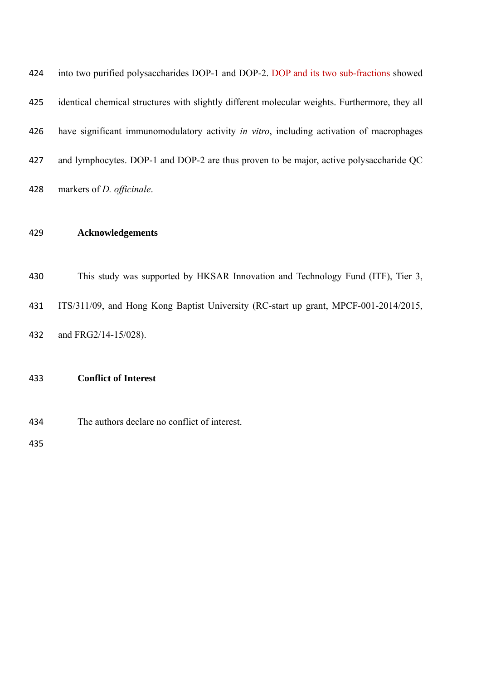| 429 | <b>Acknowledgements</b>                                                                        |
|-----|------------------------------------------------------------------------------------------------|
| 428 | markers of $D$ . <i>officinale</i> .                                                           |
| 427 | and lymphocytes. DOP-1 and DOP-2 are thus proven to be major, active polysaccharide QC         |
| 426 | have significant immunomodulatory activity in vitro, including activation of macrophages       |
| 425 | identical chemical structures with slightly different molecular weights. Furthermore, they all |
| 424 | into two purified polysaccharides DOP-1 and DOP-2. DOP and its two sub-fractions showed        |

 This study was supported by HKSAR Innovation and Technology Fund (ITF), Tier 3, ITS/311/09, and Hong Kong Baptist University (RC-start up grant, MPCF-001-2014/2015, and FRG2/14-15/028).

# **Conflict of Interest**

The authors declare no conflict of interest.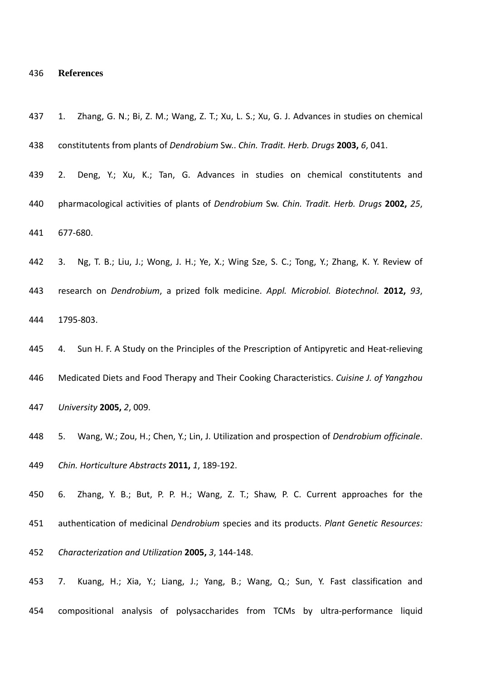#### **References**

- 1. Zhang, G. N.; Bi, Z. M.; Wang, Z. T.; Xu, L. S.; Xu, G. J. Advances in studies on chemical constitutents from plants of *Dendrobium* Sw.. *Chin. Tradit. Herb. Drugs* **2003,** *6*, 041.
- 2. Deng, Y.; Xu, K.; Tan, G. Advances in studies on chemical constitutents and pharmacological activities of plants of *Dendrobium* Sw. *Chin. Tradit. Herb. Drugs* **2002,** *25*, 677‐680.
- 3. Ng, T. B.; Liu, J.; Wong, J. H.; Ye, X.; Wing Sze, S. C.; Tong, Y.; Zhang, K. Y. Review of research on *Dendrobium*, a prized folk medicine. *Appl. Microbiol. Biotechnol.* **2012,** *93*, 1795‐803.
- 445 4. Sun H. F. A Study on the Principles of the Prescription of Antipyretic and Heat-relieving Medicated Diets and Food Therapy and Their Cooking Characteristics. *Cuisine J. of Yangzhou University* **2005,** *2*, 009.
- 5. Wang, W.; Zou, H.; Chen, Y.; Lin, J. Utilization and prospection of *Dendrobium officinale*. *Chin. Horticulture Abstracts* **2011,** *1*, 189‐192.
- 6. Zhang, Y. B.; But, P. P. H.; Wang, Z. T.; Shaw, P. C. Current approaches for the authentication of medicinal *Dendrobium* species and its products. *Plant Genetic Resources: Characterization and Utilization* **2005,** *3*, 144‐148.
- 7. Kuang, H.; Xia, Y.; Liang, J.; Yang, B.; Wang, Q.; Sun, Y. Fast classification and compositional analysis of polysaccharides from TCMs by ultra‐performance liquid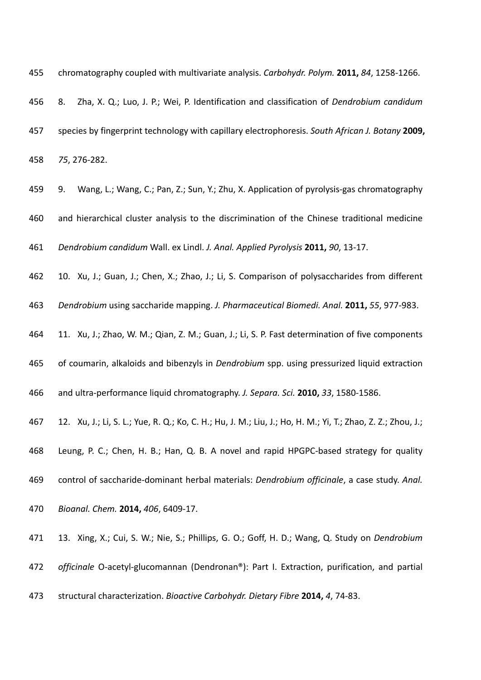chromatography coupled with multivariate analysis. *Carbohydr. Polym.* **2011,** *84*, 1258‐1266.

- 8. Zha, X. Q.; Luo, J. P.; Wei, P. Identification and classification of *Dendrobium candidum* species by fingerprint technology with capillary electrophoresis. *South African J. Botany* **2009,** *75*, 276‐282.
- 9. Wang, L.; Wang, C.; Pan, Z.; Sun, Y.; Zhu, X. Application of pyrolysis‐gas chromatography
- and hierarchical cluster analysis to the discrimination of the Chinese traditional medicine
- *Dendrobium candidum* Wall. ex Lindl. *J. Anal. Applied Pyrolysis* **2011,** *90*, 13‐17.
- 10. Xu, J.; Guan, J.; Chen, X.; Zhao, J.; Li, S. Comparison of polysaccharides from different
- *Dendrobium* using saccharide mapping. *J. Pharmaceutical Biomedi. Anal.* **2011,** *55*, 977‐983.
- 11. Xu, J.; Zhao, W. M.; Qian, Z. M.; Guan, J.; Li, S. P. Fast determination of five components
- of coumarin, alkaloids and bibenzyls in *Dendrobium* spp. using pressurized liquid extraction
- and ultra‐performance liquid chromatography. *J. Separa. Sci.* **2010,** *33*, 1580‐1586.
- 12. Xu, J.; Li, S. L.; Yue, R. Q.; Ko, C. H.; Hu, J. M.; Liu, J.; Ho, H. M.; Yi, T.; Zhao, Z. Z.; Zhou, J.;
- Leung, P. C.; Chen, H. B.; Han, Q. B. A novel and rapid HPGPC‐based strategy for quality
- control of saccharide‐dominant herbal materials: *Dendrobium officinale*, a case study. *Anal.*
- *Bioanal. Chem.* **2014,** *406*, 6409‐17.
- 13. Xing, X.; Cui, S. W.; Nie, S.; Phillips, G. O.; Goff, H. D.; Wang, Q. Study on *Dendrobium* 472 officinale O-acetyl-glucomannan (Dendronan®): Part I. Extraction, purification, and partial
- structural characterization. *Bioactive Carbohydr. Dietary Fibre* **2014,** *4*, 74‐83.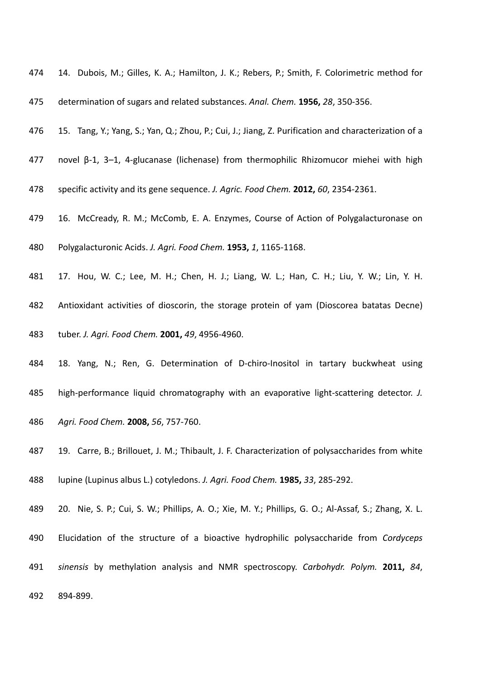- 14. Dubois, M.; Gilles, K. A.; Hamilton, J. K.; Rebers, P.; Smith, F. Colorimetric method for
- determination of sugars and related substances. *Anal. Chem.* **1956,** *28*, 350‐356.
- 15. Tang, Y.; Yang, S.; Yan, Q.; Zhou, P.; Cui, J.; Jiang, Z. Purification and characterization of a
- 477 novel  $\beta$ -1, 3–1, 4-glucanase (lichenase) from thermophilic Rhizomucor miehei with high
- specific activity and its gene sequence. *J. Agric. Food Chem.* **2012,** *60*, 2354‐2361.
- 479 16. McCready, R. M.; McComb, E. A. Enzymes, Course of Action of Polygalacturonase on
- Polygalacturonic Acids. *J. Agri. Food Chem.* **1953,** *1*, 1165‐1168.
- 17. Hou, W. C.; Lee, M. H.; Chen, H. J.; Liang, W. L.; Han, C. H.; Liu, Y. W.; Lin, Y. H.
- Antioxidant activities of dioscorin, the storage protein of yam (Dioscorea batatas Decne)
- tuber. *J. Agri. Food Chem.* **2001,** *49*, 4956‐4960.
- 484 18. Yang, N.; Ren, G. Determination of D-chiro-Inositol in tartary buckwheat using
- high‐performance liquid chromatography with an evaporative light‐scattering detector. *J.*
- *Agri. Food Chem.* **2008,** *56*, 757‐760.
- 19. Carre, B.; Brillouet, J. M.; Thibault, J. F. Characterization of polysaccharides from white lupine (Lupinus albus L.) cotyledons. *J. Agri. Food Chem.* **1985,** *33*, 285‐292.
- 20. Nie, S. P.; Cui, S. W.; Phillips, A. O.; Xie, M. Y.; Phillips, G. O.; Al‐Assaf, S.; Zhang, X. L. Elucidation of the structure of a bioactive hydrophilic polysaccharide from *Cordyceps sinensis* by methylation analysis and NMR spectroscopy. *Carbohydr. Polym.* **2011,** *84*, 894‐899.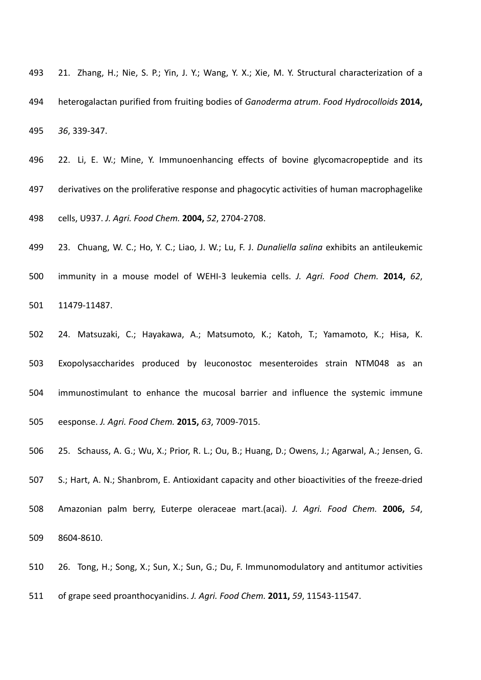- 21. Zhang, H.; Nie, S. P.; Yin, J. Y.; Wang, Y. X.; Xie, M. Y. Structural characterization of a heterogalactan purified from fruiting bodies of *Ganoderma atrum*. *Food Hydrocolloids* **2014,** *36*, 339‐347.
- 496 22. Li, E. W.; Mine, Y. Immunoenhancing effects of bovine glycomacropeptide and its derivatives on the proliferative response and phagocytic activities of human macrophagelike

cells, U937. *J. Agri. Food Chem.* **2004,** *52*, 2704‐2708.

 23. Chuang, W. C.; Ho, Y. C.; Liao, J. W.; Lu, F. J. *Dunaliella salina* exhibits an antileukemic immunity in a mouse model of WEHI‐3 leukemia cells. *J. Agri. Food Chem.* **2014,** *62*,

11479‐11487.

 24. Matsuzaki, C.; Hayakawa, A.; Matsumoto, K.; Katoh, T.; Yamamoto, K.; Hisa, K. Exopolysaccharides produced by leuconostoc mesenteroides strain NTM048 as an immunostimulant to enhance the mucosal barrier and influence the systemic immune eesponse. *J. Agri. Food Chem.* **2015,** *63*, 7009‐7015.

25. Schauss, A. G.; Wu, X.; Prior, R. L.; Ou, B.; Huang, D.; Owens, J.; Agarwal, A.; Jensen, G.

507 S.; Hart, A. N.; Shanbrom, E. Antioxidant capacity and other bioactivities of the freeze-dried Amazonian palm berry, Euterpe oleraceae mart.(acai). *J. Agri. Food Chem.* **2006,** *54*,

8604‐8610.

26. Tong, H.; Song, X.; Sun, X.; Sun, G.; Du, F. Immunomodulatory and antitumor activities

of grape seed proanthocyanidins. *J. Agri. Food Chem.* **2011,** *59*, 11543‐11547.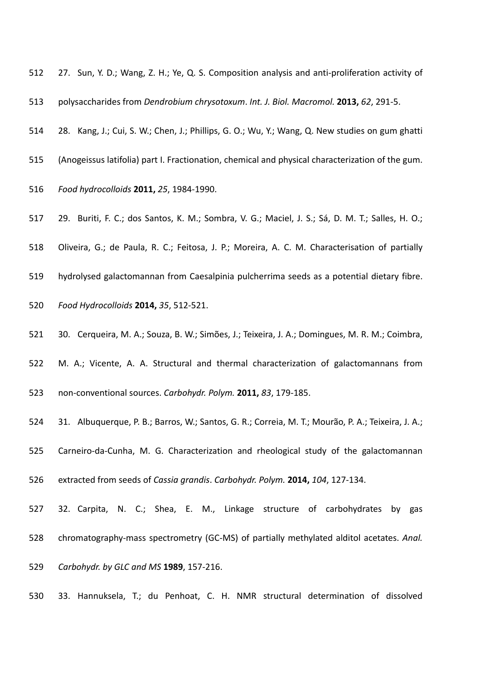- 512 27. Sun, Y. D.; Wang, Z. H.; Ye, Q. S. Composition analysis and anti-proliferation activity of
- polysaccharides from *Dendrobium chrysotoxum*. *Int. J. Biol. Macromol.* **2013,** *62*, 291‐5.
- 28. Kang, J.; Cui, S. W.; Chen, J.; Phillips, G. O.; Wu, Y.; Wang, Q. New studies on gum ghatti
- (Anogeissus latifolia) part I. Fractionation, chemical and physical characterization of the gum.
- *Food hydrocolloids* **2011,** *25*, 1984‐1990.
- 29. Buriti, F. C.; dos Santos, K. M.; Sombra, V. G.; Maciel, J. S.; Sá, D. M. T.; Salles, H. O.;
- Oliveira, G.; de Paula, R. C.; Feitosa, J. P.; Moreira, A. C. M. Characterisation of partially
- hydrolysed galactomannan from Caesalpinia pulcherrima seeds as a potential dietary fibre.
- *Food Hydrocolloids* **2014,** *35*, 512‐521.
- 30. Cerqueira, M. A.; Souza, B. W.; Simões, J.; Teixeira, J. A.; Domingues, M. R. M.; Coimbra,
- M. A.; Vicente, A. A. Structural and thermal characterization of galactomannans from
- non‐conventional sources. *Carbohydr. Polym.* **2011,** *83*, 179‐185.
- 31. Albuquerque, P. B.; Barros, W.; Santos, G. R.; Correia, M. T.; Mourão, P. A.; Teixeira, J. A.;
- 525 Carneiro-da-Cunha, M. G. Characterization and rheological study of the galactomannan
- extracted from seeds of *Cassia grandis*. *Carbohydr. Polym.* **2014,** *104*, 127‐134.
- 32. Carpita, N. C.; Shea, E. M., Linkage structure of carbohydrates by gas
- chromatography‐mass spectrometry (GC‐MS) of partially methylated alditol acetates. *Anal.*
- *Carbohydr. by GLC and MS* **1989**, 157‐216.
- 33. Hannuksela, T.; du Penhoat, C. H. NMR structural determination of dissolved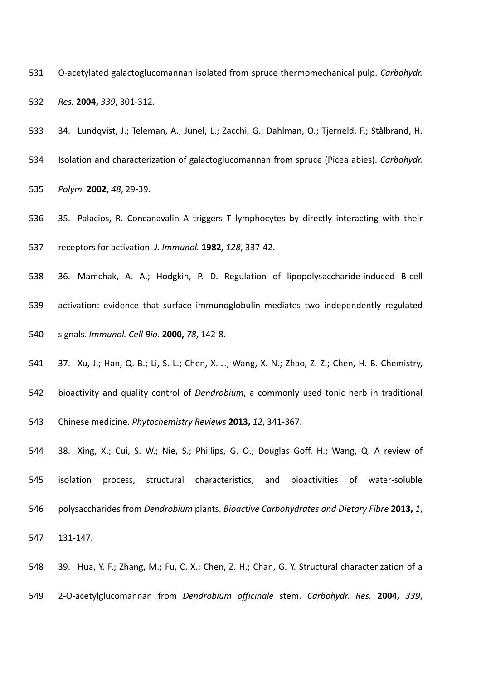- O‐acetylated galactoglucomannan isolated from spruce thermomechanical pulp. *Carbohydr. Res.* **2004,** *339*, 301‐312.
- 34. Lundqvist, J.; Teleman, A.; Junel, L.; Zacchi, G.; Dahlman, O.; Tjerneld, F.; Stålbrand, H.
- Isolation and characterization of galactoglucomannan from spruce (Picea abies). *Carbohydr.*
- *Polym.* **2002,** *48*, 29‐39.
- 35. Palacios, R. Concanavalin A triggers T lymphocytes by directly interacting with their receptors for activation. *J. Immunol.* **1982,** *128*, 337‐42.
- 36. Mamchak, A. A.; Hodgkin, P. D. Regulation of lipopolysaccharide‐induced B‐cell
- activation: evidence that surface immunoglobulin mediates two independently regulated
- signals. *Immunol. Cell Bio.* **2000,** *78*, 142‐8.
- 37. Xu, J.; Han, Q. B.; Li, S. L.; Chen, X. J.; Wang, X. N.; Zhao, Z. Z.; Chen, H. B. Chemistry,
- bioactivity and quality control of *Dendrobium*, a commonly used tonic herb in traditional
- Chinese medicine. *Phytochemistry Reviews* **2013,** *12*, 341‐367.
- 38. Xing, X.; Cui, S. W.; Nie, S.; Phillips, G. O.; Douglas Goff, H.; Wang, Q. A review of isolation process, structural characteristics, and bioactivities of water‐soluble polysaccharides from *Dendrobium* plants. *Bioactive Carbohydrates and Dietary Fibre* **2013,** *1*, 131‐147.
- 39. Hua, Y. F.; Zhang, M.; Fu, C. X.; Chen, Z. H.; Chan, G. Y. Structural characterization of a 2‐O‐acetylglucomannan from *Dendrobium officinale* stem. *Carbohydr. Res.* **2004,** *339*,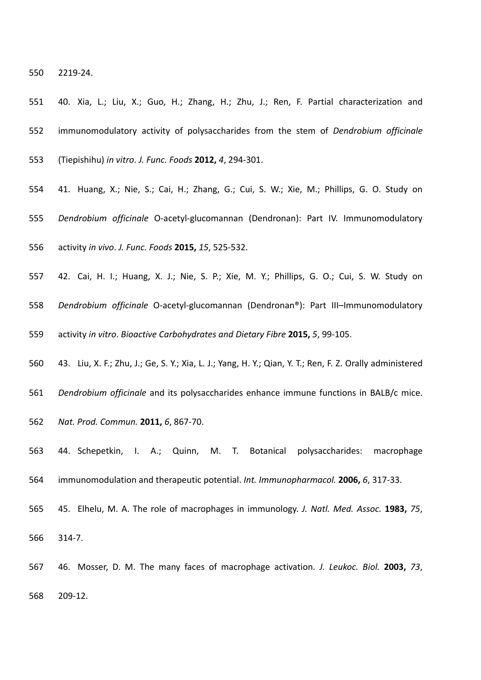2219‐24.

 40. Xia, L.; Liu, X.; Guo, H.; Zhang, H.; Zhu, J.; Ren, F. Partial characterization and immunomodulatory activity of polysaccharides from the stem of *Dendrobium officinale* (Tiepishihu) *in vitro*. *J. Func. Foods* **2012,** *4*, 294‐301.

- 41. Huang, X.; Nie, S.; Cai, H.; Zhang, G.; Cui, S. W.; Xie, M.; Phillips, G. O. Study on
- *Dendrobium officinale* O‐acetyl‐glucomannan (Dendronan): Part IV. Immunomodulatory
- activity *in vivo*. *J. Func. Foods* **2015,** *15*, 525‐532.
- 42. Cai, H. I.; Huang, X. J.; Nie, S. P.; Xie, M. Y.; Phillips, G. O.; Cui, S. W. Study on
- *Dendrobium officinale* O‐acetyl‐glucomannan (Dendronan®): Part III–Immunomodulatory
- activity *in vitro*. *Bioactive Carbohydrates and Dietary Fibre* **2015,** *5*, 99‐105.
- 43. Liu, X. F.; Zhu, J.; Ge, S. Y.; Xia, L. J.; Yang, H. Y.; Qian, Y. T.; Ren, F. Z. Orally administered
- *Dendrobium officinale* and its polysaccharides enhance immune functions in BALB/c mice.
- *Nat. Prod. Commun.* **2011,** *6*, 867‐70.
- 44. Schepetkin, I. A.; Quinn, M. T. Botanical polysaccharides: macrophage immunomodulation and therapeutic potential. *Int. Immunopharmacol.* **2006,** *6*, 317‐33.
- 45. Elhelu, M. A. The role of macrophages in immunology. *J. Natl. Med. Assoc.* **1983,** *75*, 314‐7.
- 46. Mosser, D. M. The many faces of macrophage activation. *J. Leukoc. Biol.* **2003,** *73*, 209‐12.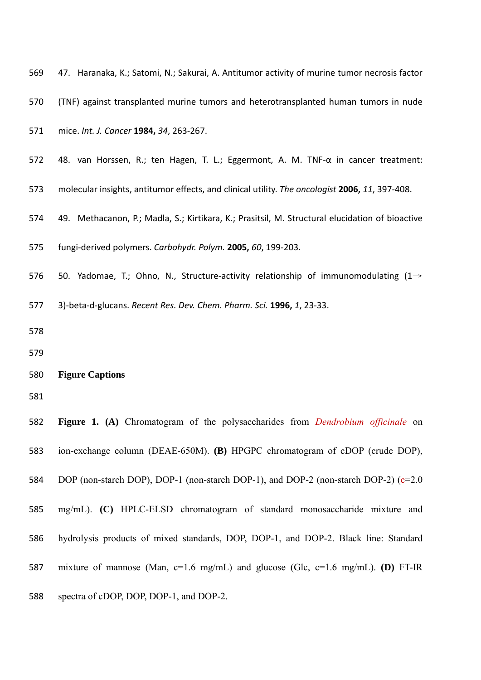| 569 | 47. Haranaka, K.; Satomi, N.; Sakurai, A. Antitumor activity of murine tumor necrosis factor    |
|-----|-------------------------------------------------------------------------------------------------|
| 570 | (TNF) against transplanted murine tumors and heterotransplanted human tumors in nude            |
| 571 | mice. Int. J. Cancer 1984, 34, 263-267.                                                         |
| 572 | 48. van Horssen, R.; ten Hagen, T. L.; Eggermont, A. M. TNF-α in cancer treatment:              |
| 573 | molecular insights, antitumor effects, and clinical utility. The oncologist 2006, 11, 397-408.  |
| 574 | 49. Methacanon, P.; Madla, S.; Kirtikara, K.; Prasitsil, M. Structural elucidation of bioactive |
| 575 | fungi-derived polymers. Carbohydr. Polym. 2005, 60, 199-203.                                    |
| 576 | 50. Yadomae, T.; Ohno, N., Structure-activity relationship of immunomodulating $(1 \rightarrow$ |
| 577 | 3)-beta-d-glucans. Recent Res. Dev. Chem. Pharm. Sci. 1996, 1, 23-33.                           |
|     |                                                                                                 |
| 578 |                                                                                                 |
| 579 |                                                                                                 |
| 580 | <b>Figure Captions</b>                                                                          |
| 581 |                                                                                                 |
| 582 | <b>Figure 1.</b> (A) Chromatogram of the polysaccharides from <i>Dendrobium officinale</i> on   |
| 583 | ion-exchange column (DEAE-650M). (B) HPGPC chromatogram of cDOP (crude DOP),                    |
| 584 | DOP (non-starch DOP), DOP-1 (non-starch DOP-1), and DOP-2 (non-starch DOP-2) (c=2.0)            |
| 585 | mg/mL). (C) HPLC-ELSD chromatogram of standard monosaccharide mixture and                       |
| 586 | hydrolysis products of mixed standards, DOP, DOP-1, and DOP-2. Black line: Standard             |

spectra of cDOP, DOP, DOP-1, and DOP-2.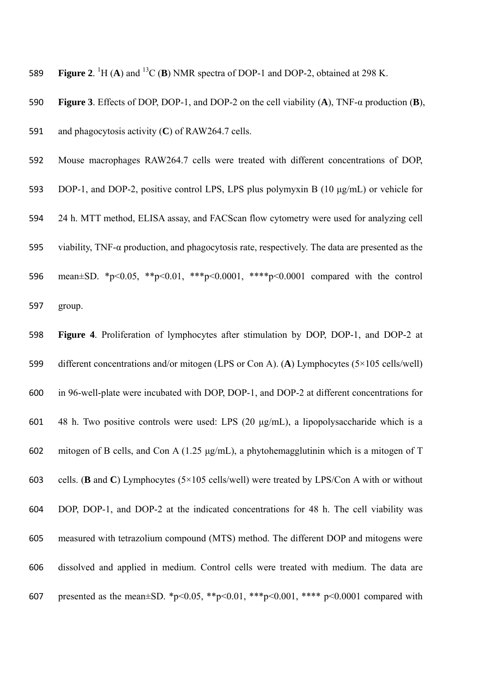**Figure 2.** <sup>1</sup>H (**A**) and <sup>13</sup>C (**B**) NMR spectra of DOP-1 and DOP-2, obtained at 298 K.

**Figure 3**. Effects of DOP, DOP-1, and DOP-2 on the cell viability (**A**), TNF-α production (**B**),

and phagocytosis activity (**C**) of RAW264.7 cells.

Mouse macrophages RAW264.7 cells were treated with different concentrations of DOP,

- DOP-1, and DOP-2, positive control LPS, LPS plus polymyxin B (10 μg/mL) or vehicle for
- 24 h. MTT method, ELISA assay, and FACScan flow cytometry were used for analyzing cell
- viability, TNF-α production, and phagocytosis rate, respectively. The data are presented as the
- mean±SD. \*p<0.05, \*\*p<0.01, \*\*\*p<0.0001, \*\*\*\*p<0.0001 compared with the control group.
- **Figure 4**. Proliferation of lymphocytes after stimulation by DOP, DOP-1, and DOP-2 at different concentrations and/or mitogen (LPS or Con A). (**A**) Lymphocytes (5×105 cells/well) in 96-well-plate were incubated with DOP, DOP-1, and DOP-2 at different concentrations for 48 h. Two positive controls were used: LPS (20 μg/mL), a lipopolysaccharide which is a mitogen of B cells, and Con A (1.25 μg/mL), a phytohemagglutinin which is a mitogen of T cells. (**B** and **C**) Lymphocytes (5×105 cells/well) were treated by LPS/Con A with or without DOP, DOP-1, and DOP-2 at the indicated concentrations for 48 h. The cell viability was measured with tetrazolium compound (MTS) method. The different DOP and mitogens were dissolved and applied in medium. Control cells were treated with medium. The data are 607 presented as the mean $\pm$ SD. \*p<0.05, \*\*p<0.01, \*\*\*p<0.001, \*\*\*\* p<0.0001 compared with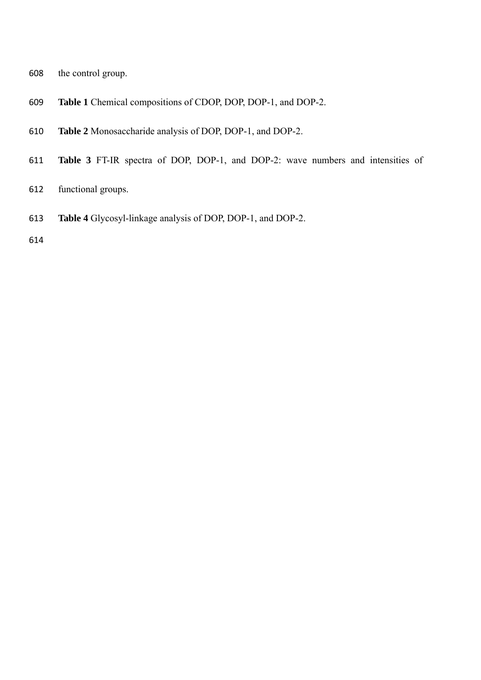- the control group.
- **Table 1** Chemical compositions of CDOP, DOP, DOP-1, and DOP-2.
- **Table 2** Monosaccharide analysis of DOP, DOP-1, and DOP-2.
- **Table 3** FT-IR spectra of DOP, DOP-1, and DOP-2: wave numbers and intensities of
- functional groups.
- **Table 4** Glycosyl-linkage analysis of DOP, DOP-1, and DOP-2.
-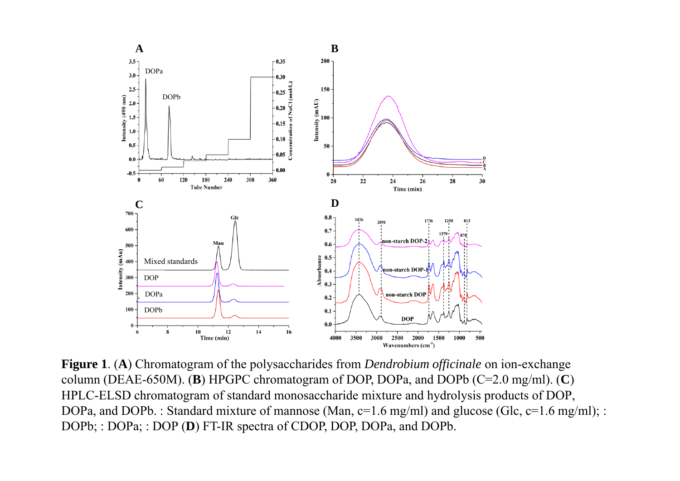

**Figure 1**. (**A**) Chromatogram of the polysaccharides from *Dendrobium officinale* on ion-exchange column (DEAE-650M). (**B**) HPGPC chromatogram of DOP, DOPa, and DOPb (C=2.0 mg/ml). (**C**) HPLC-ELSD chromatogram of standard monosaccharide mixture and hydrolysis products of DOP, DOPa, and DOPb. : Standard mixture of mannose (Man, c=1.6 mg/ml) and glucose (Glc, c=1.6 mg/ml); : DOPb; : DOPa; : DOP (D) FT-IR spectra of CDOP, DOP, DOPa, and DOPb.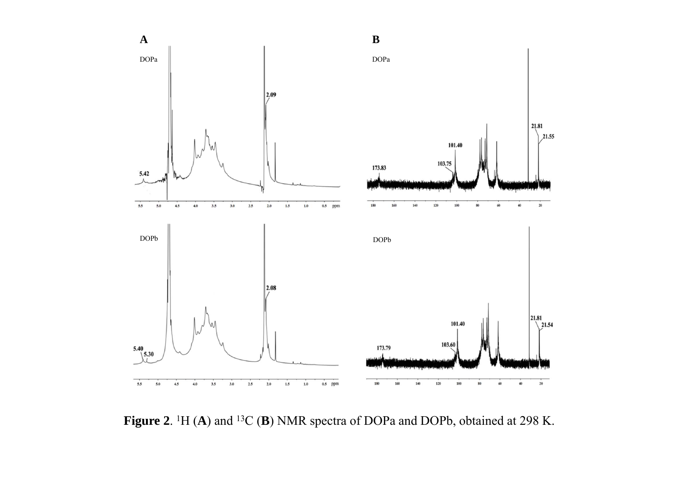

**Figure 2**. 1H (**A**) and 13C (**B**) NMR spectra of DOPa and DOPb, obtained at 298 K.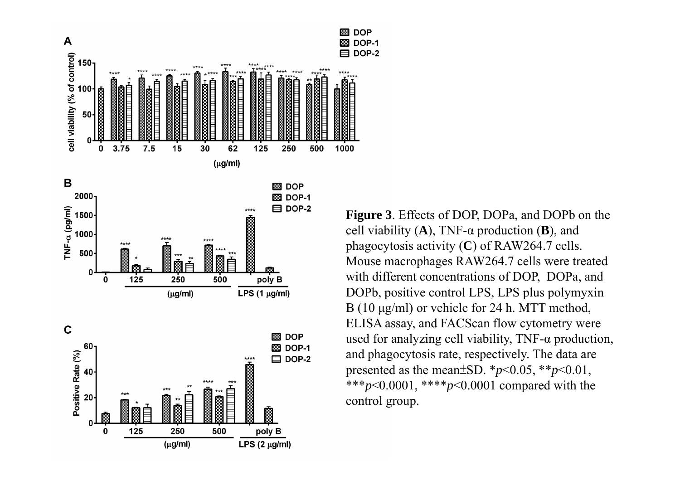

**Figure 3**. Effects of DOP, DOPa, and DOPb on the cell viability (**A**), TNF-α production (**B**), and phagocytosis activity (**C**) of RAW264.7 cells. Mouse macrophages RAW264.7 cells were treated with different concentrations of DOP, DOPa, and DOPb, positive control LPS, LPS plus polymyxin B (10 μg/ml) or vehicle for 24 h. MTT method, ELISA assay, and FACScan flow cytometry were used for analyzing cell viability,  $TNF-\alpha$  production, and phagocytosis rate, respectively. The data are presented as the mean $\pm$ SD.  $*_{p}$ <0.05,  $*_{p}$ solog  $\pm$ 0.01, \*\*\**p*<0.0001, \*\*\*\**p*<0.0001 compared with the control group.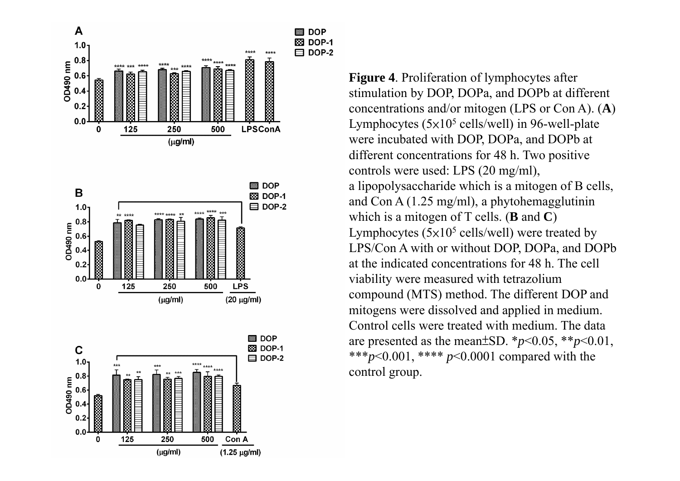

**Figure 4**. Proliferation of lymphocytes after stimulation by DOP, DOPa, and DOPb at different concentrations and/or mitogen (LPS or Con A). (**A**) Lymphocytes  $(5x10^5 \text{ cells/well})$  in 96-well-plate were incubated with DOP, DOPa, and DOPb at different concentrations for 48 h. Two positive controls were used: LPS (20 mg/ml), a lipopolysaccharide which is a mitogen of B cells, and Con A (1.25 mg/ml), a phytohemagglutinin which is a mitogen of T cells. (**B** and **C**) Lymphocytes  $(5x10^5 \text{ cells/well})$  were treated by LPS/Con A with or without DOP, DOPa, and DOPb at the indicated concentrations for 48 h. The cell viability were measured with tetrazolium compound (MTS) method. The different DOP and mitogens were dissolved and applied in medium. Control cells were treated with medium. The data are presented as the mean $\pm$ SD.  $*_{p}$ <0.05,  $*_{p}$ steps(0.01, \*\*\**p*<0.001, \*\*\*\* *p*<0.0001 compared with the control group.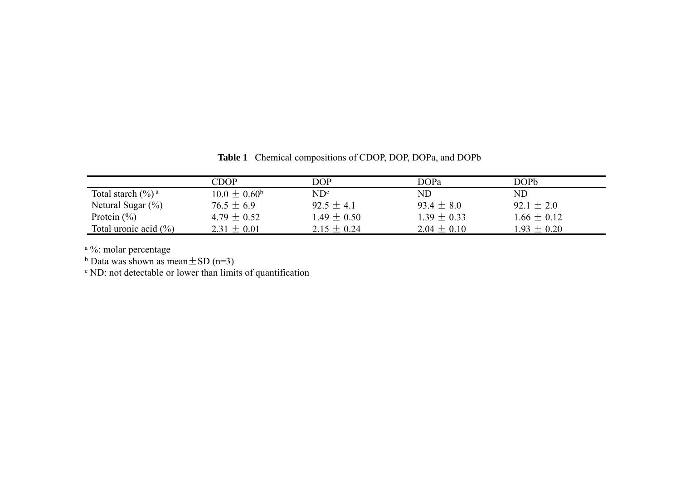|                                | CDOP                    | DOP             | DOPa            | DOPb            |
|--------------------------------|-------------------------|-----------------|-----------------|-----------------|
| Total starch $(\frac{6}{6})^a$ | $10.0 \pm 0.60^{\rm b}$ | $ND^c$          | ND              | ND              |
| Netural Sugar $(\%)$           | $76.5 \pm 6.9$          | $92.5 + 4.1$    | $93.4 \pm 8.0$  | $92.1 \pm 2.0$  |
| Protein $(\% )$                | $4.79 + 0.52$           | $1.49 \pm 0.50$ | $1.39 \pm 0.33$ | $1.66 \pm 0.12$ |
| Total uronic acid $(\% )$      | $2.31 \pm 0.01$         | $2.15 \pm 0.24$ | $2.04 \pm 0.10$ | $1.93 \pm 0.20$ |

**Table 1** Chemical compositions of CDOP, DOP, DOPa, and DOPb

<sup>a %</sup>: molar percentage

<sup>b</sup> Data was shown as mean  $\pm$  SD (n=3)

c ND: not detectable or lower than limits of quantification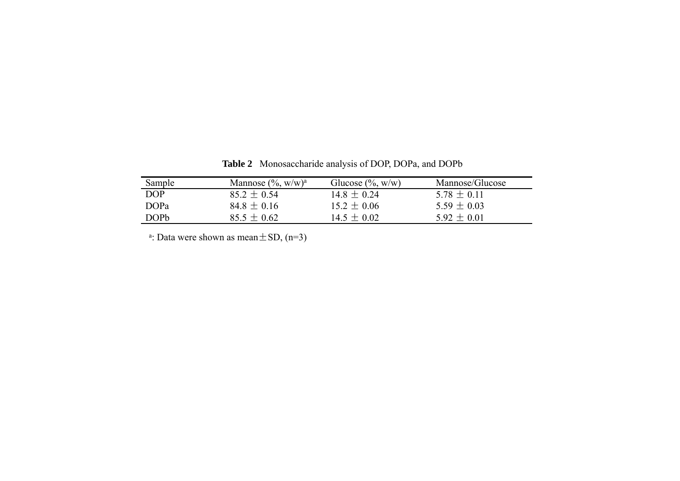| Sample           | Mannose $(\%$ , w/w) <sup>a</sup> | Glucose $(\%$ , w/w) | Mannose/Glucose |
|------------------|-----------------------------------|----------------------|-----------------|
| DOP              | $85.2 \pm 0.54$                   | $14.8 \pm 0.24$      | $578 + 011$     |
| DOP <sub>a</sub> | $84.8 \pm 0.16$                   | $15.2 \pm 0.06$      | $5.59 \pm 0.03$ |
| <b>DOPP</b>      | $85.5 + 0.62$                     | $14.5 \pm 0.02$      | $5.92 \pm 0.01$ |

**Table 2** Monosaccharide analysis of DOP, DOPa, and DOPb

<sup>a</sup>: Data were shown as mean  $\pm$  SD, (n=3)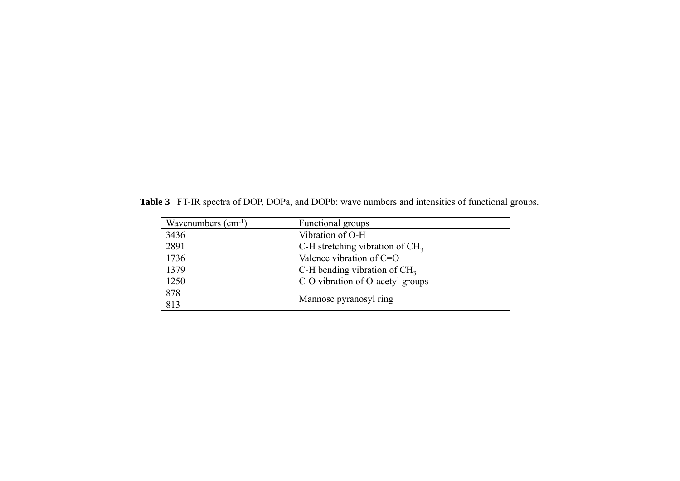**Table 3** FT-IR spectra of DOP, DOPa, and DOPb: wave numbers and intensities of functional groups.

| Wavenumbers $(cm^{-1})$ | Functional groups                 |
|-------------------------|-----------------------------------|
| 3436                    | Vibration of O-H                  |
| 2891                    | C-H stretching vibration of $CH3$ |
| 1736                    | Valence vibration of C=O          |
| 1379                    | C-H bending vibration of $CH3$    |
| 1250                    | C-O vibration of O-acetyl groups  |
| 878                     |                                   |
| 813                     | Mannose pyranosyl ring            |